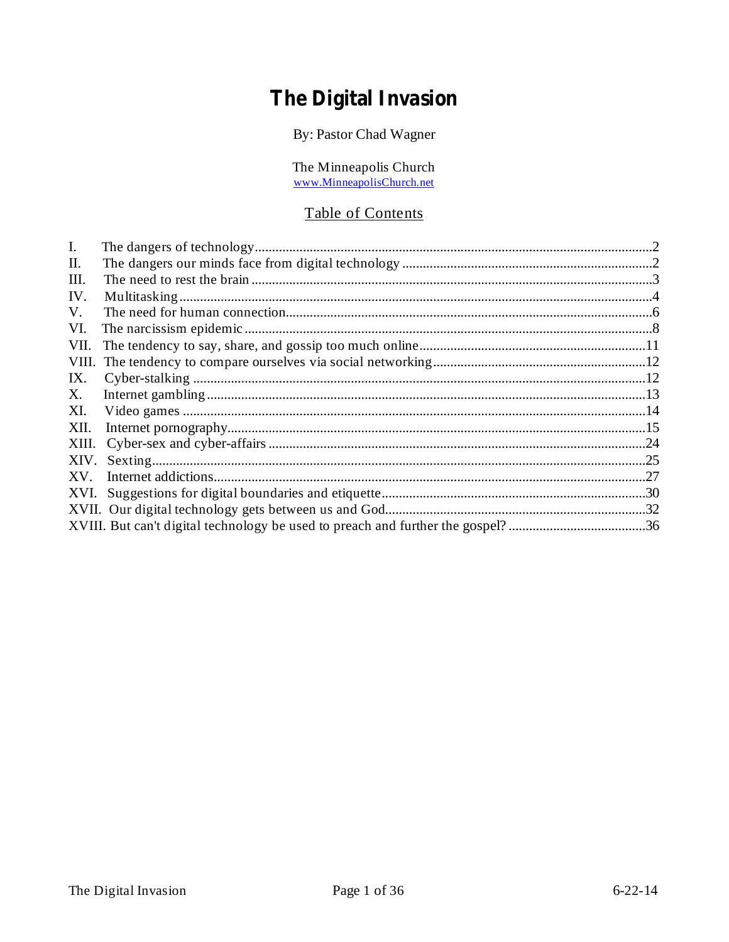# The Digital Invasion

By: Pastor Chad Wagner

The Minneapolis Church<br>www.MinneapolisChurch.net

# Table of Contents

| $\mathbf{I}$ . |                                                                                 |     |
|----------------|---------------------------------------------------------------------------------|-----|
| П.             |                                                                                 |     |
| Ш.             |                                                                                 |     |
| IV.            |                                                                                 |     |
| V.             |                                                                                 |     |
| VI.            |                                                                                 |     |
| VII.           |                                                                                 |     |
| VIII.          |                                                                                 |     |
| IX.            |                                                                                 |     |
| X.             |                                                                                 |     |
| XI.            |                                                                                 |     |
| XII.           |                                                                                 |     |
|                |                                                                                 |     |
| XIV.           |                                                                                 | .25 |
| XV.            |                                                                                 | .27 |
|                |                                                                                 |     |
|                |                                                                                 |     |
|                | XVIII. But can't digital technology be used to preach and further the gospel?36 |     |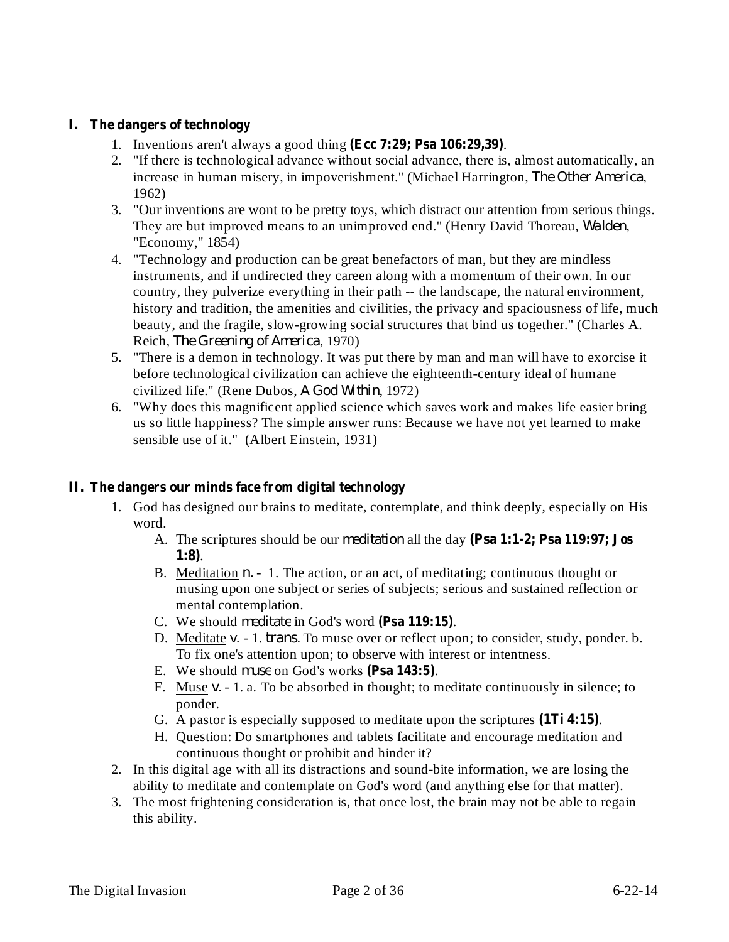# **I. The dangers of technology**

- 1. Inventions aren't always a good thing  $(Ecc 7:29; Psa 106:29,39)$ .
- 2. "If there is technological advance without social advance, there is, almost automatically, an increase in human misery, in impoverishment." (Michael Harrington, The Other America, 1962)
- 3. "Our inventions are wont to be pretty toys, which distract our attention from serious things. They are but improved means to an unimproved end." (Henry David Thoreau, Walden, "Economy," 1854)
- 4. "Technology and production can be great benefactors of man, but they are mindless instruments, and if undirected they careen along with a momentum of their own. In our country, they pulverize everything in their path -- the landscape, the natural environment, history and tradition, the amenities and civilities, the privacy and spaciousness of life, much beauty, and the fragile, slow-growing social structures that bind us together." (Charles A. Reich, *The Greening of America*, 1970)
- 5. "There is a demon in technology. It was put there by man and man will have to exorcise it before technological civilization can achieve the eighteenth-century ideal of humane civilized life." (Rene Dubos, A God Within, 1972)
- 6. "Why does this magnificent applied science which saves work and makes life easier bring us so little happiness? The simple answer runs: Because we have not yet learned to make sensible use of it." (Albert Einstein, 1931)

# **II. The dangers our minds face from digital technology**

- 1. God has designed our brains to meditate, contemplate, and think deeply, especially on His word.
	- A. The scriptures should be our *meditation* all the day (Psa 1:1-2; Psa 119:97; Jos . **1:8)**
	- B. Meditation *n.* 1. The action, or an act, of meditating; continuous thought or musing upon one subject or series of subjects; serious and sustained reflection or mental contemplation.
	- C. We should *meditate* in God's word (Psa 119:15).
	- D. Meditate v. 1. *trans*. To muse over or reflect upon; to consider, study, ponder. b. To fix one's attention upon; to observe with interest or intentness.
	- E. We should *muse* on God's works (Psa 143:5).
	- F. Muse  $v. 1$ . a. To be absorbed in thought; to meditate continuously in silence; to ponder.
	- G. A pastor is especially supposed to meditate upon the scriptures (1Ti 4:15).
	- H. Question: Do smartphones and tablets facilitate and encourage meditation and continuous thought or prohibit and hinder it?
- 2. In this digital age with all its distractions and sound-bite information, we are losing the ability to meditate and contemplate on God's word (and anything else for that matter).
- 3. The most frightening consideration is, that once lost, the brain may not be able to regain this ability.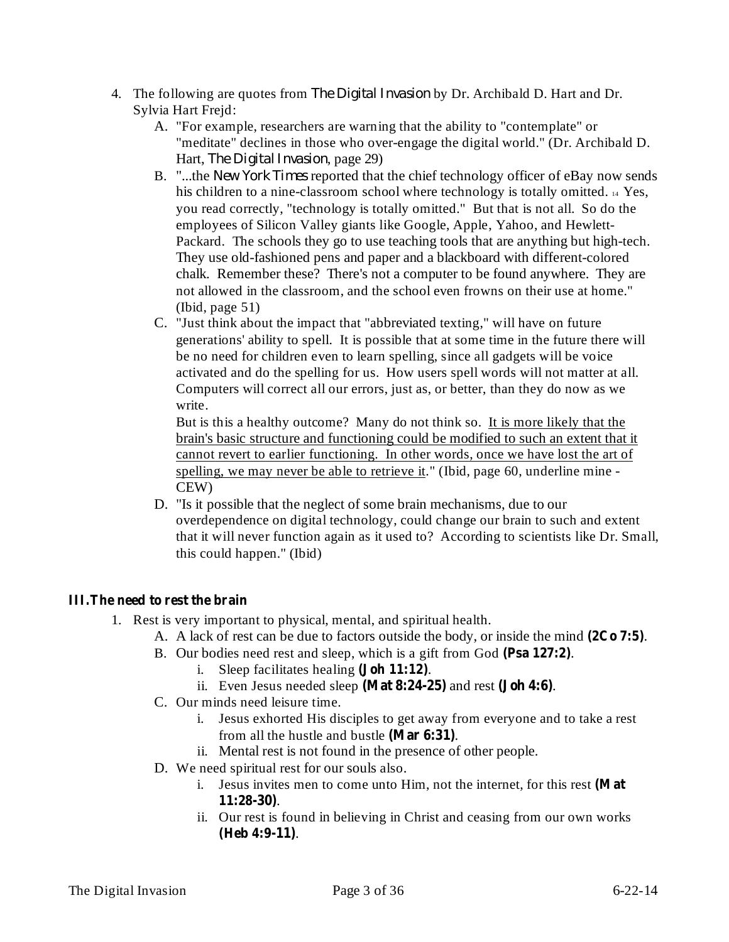- 4. The following are quotes from *The Digital Invasion* by Dr. Archibald D. Hart and Dr. Sylvia Hart Frejd:
	- A. "For example, researchers are warning that the ability to "contemplate" or "meditate" declines in those who over-engage the digital world." (Dr. Archibald D. Hart, *The Digital Invasion*, page 29)
	- B. "...the *New York Times* reported that the chief technology officer of eBay now sends his children to a nine-classroom school where technology is totally omitted. 14 Yes, you read correctly, "technology is totally omitted." But that is not all. So do the employees of Silicon Valley giants like Google, Apple, Yahoo, and Hewlett-Packard. The schools they go to use teaching tools that are anything but high-tech. They use old-fashioned pens and paper and a blackboard with different-colored chalk. Remember these? There's not a computer to be found anywhere. They are not allowed in the classroom, and the school even frowns on their use at home." (Ibid, page 51)
	- C. "Just think about the impact that "abbreviated texting," will have on future generations' ability to spell. It is possible that at some time in the future there will be no need for children even to learn spelling, since all gadgets will be voice activated and do the spelling for us. How users spell words will not matter at all. Computers will correct all our errors, just as, or better, than they do now as we write.

But is this a healthy outcome? Many do not think so. It is more likely that the brain's basic structure and functioning could be modified to such an extent that it cannot revert to earlier functioning. In other words, once we have lost the art of spelling, we may never be able to retrieve it." (Ibid, page 60, underline mine - CEW)

D. "Is it possible that the neglect of some brain mechanisms, due to our overdependence on digital technology, could change our brain to such and extent that it will never function again as it used to? According to scientists like Dr. Small, this could happen." (Ibid)

# **III.The need to rest the brain**

- 1. Rest is very important to physical, mental, and spiritual health.
	- A. A lack of rest can be due to factors outside the body, or inside the mind  $(2Co 7:5)$ .
	- B. Our bodies need rest and sleep, which is a gift from God (Psa 127:2).
		- i. Sleep facilitates healing  $(John 11:12)$ .
		- ii. Even Jesus needed sleep  $(Mat 8:24-25)$  and rest  $(John 4:6)$ .
	- C. Our minds need leisure time.
		- i. Jesus exhorted His disciples to get away from everyone and to take a rest from all the hustle and bustle (Mar 6:31).
		- ii. Mental rest is not found in the presence of other people.
	- D. We need spiritual rest for our souls also.
		- i. Jesus invites men to come unto Him, not the internet, for this rest **(Mat** . **11:28-30)**
		- ii. Our rest is found in believing in Christ and ceasing from our own works . **(Heb 4:9-11)**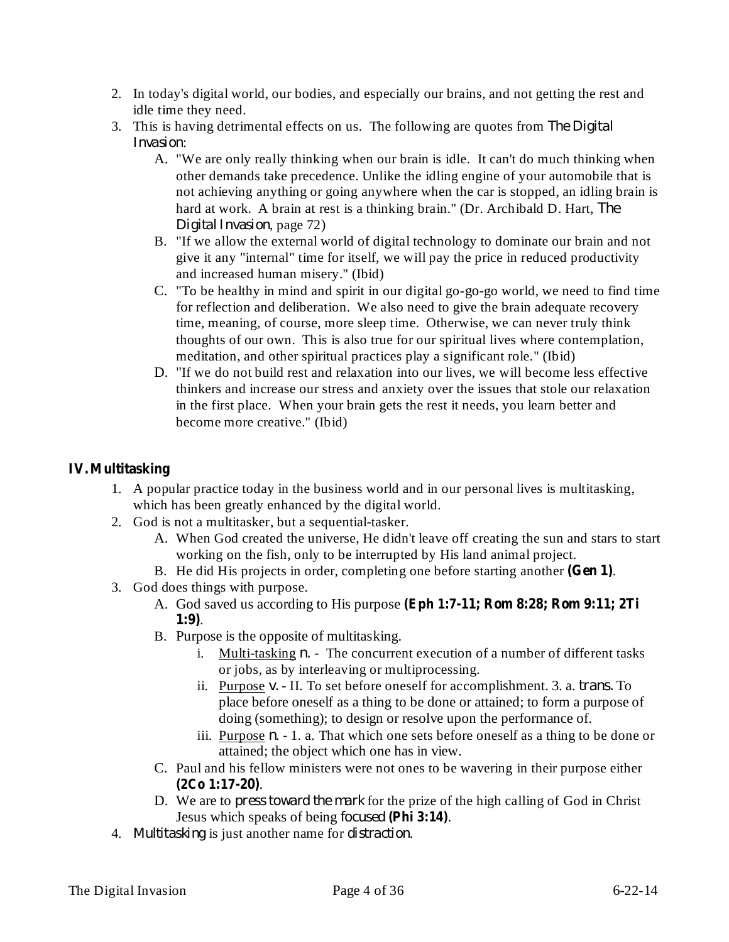- 2. In today's digital world, our bodies, and especially our brains, and not getting the rest and idle time they need.
- 3. This is having detrimental effects on us. The following are quotes from *The Digital* : *Invasion*
	- A. "We are only really thinking when our brain is idle. It can't do much thinking when other demands take precedence. Unlike the idling engine of your automobile that is not achieving anything or going anywhere when the car is stopped, an idling brain is hard at work. A brain at rest is a thinking brain." (Dr. Archibald D. Hart, *The* Digital *Invasion*, page 72)
	- B. "If we allow the external world of digital technology to dominate our brain and not give it any "internal" time for itself, we will pay the price in reduced productivity and increased human misery." (Ibid)
	- C. "To be healthy in mind and spirit in our digital go-go-go world, we need to find time for reflection and deliberation. We also need to give the brain adequate recovery time, meaning, of course, more sleep time. Otherwise, we can never truly think thoughts of our own. This is also true for our spiritual lives where contemplation, meditation, and other spiritual practices play a significant role." (Ibid)
	- D. "If we do not build rest and relaxation into our lives, we will become less effective thinkers and increase our stress and anxiety over the issues that stole our relaxation in the first place. When your brain gets the rest it needs, you learn better and become more creative." (Ibid)

# **IV.Multitasking**

- 1. A popular practice today in the business world and in our personal lives is multitasking, which has been greatly enhanced by the digital world.
- 2. God is not a multitasker, but a sequential-tasker.
	- A. When God created the universe, He didn't leave off creating the sun and stars to start working on the fish, only to be interrupted by His land animal project.
	- B. He did His projects in order, completing one before starting another (Gen 1).
- 3. God does things with purpose.
	- A. God saved us according to His purpose **(Eph 1:7-11; Rom 8:28; Rom 9:11; 2Ti** . **1:9)**
	- B. Purpose is the opposite of multitasking.
		- i. Multi-tasking *n*. The concurrent execution of a number of different tasks or jobs, as by interleaving or multiprocessing.
		- ii. Purpose v. II. To set before oneself for accomplishment. 3. a. *trans*. To place before oneself as a thing to be done or attained; to form a purpose of doing (something); to design or resolve upon the performance of.
		- iii. Purpose  $n 1$ . a. That which one sets before oneself as a thing to be done or attained; the object which one has in view.
	- C. Paul and his fellow ministers were not ones to be wavering in their purpose either . **(2Co 1:17-20)**
	- D. We are to *press toward the mark* for the prize of the high calling of God in Christ **Jesus which speaks of being** *focused* (Phi 3:14).
- 4. Multitasking is just another name for *distraction*.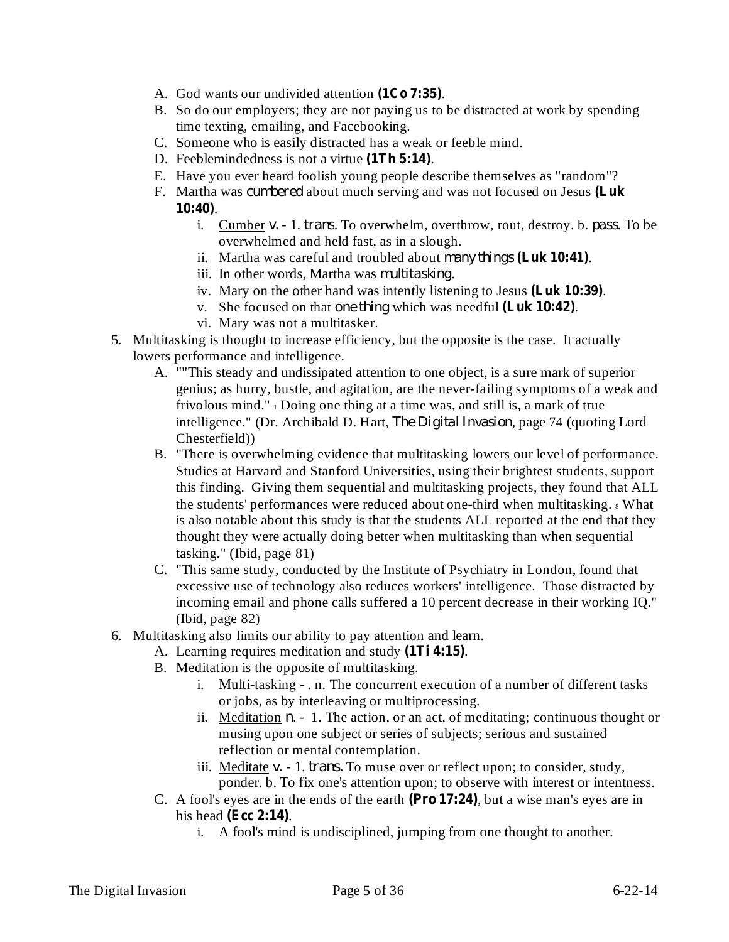- A. God wants our undivided attention (1Co 7:35).
- B. So do our employers; they are not paying us to be distracted at work by spending time texting, emailing, and Facebooking.
- C. Someone who is easily distracted has a weak or feeble mind.
- D. Feeblemindedness is not a virtue (1Th 5:14).
- E. Have you ever heard foolish young people describe themselves as "random"?
- F. Martha was *cumbered* about much serving and was not focused on Jesus (Luk . **10:40)**
	- i. Cumber v. 1. *trans*. To overwhelm, overthrow, rout, destroy. b. *pass*. To be overwhelmed and held fast, as in a slough.
	- ii. Martha was careful and troubled about many things (Luk 10:41).
	- iii. In other words, Martha was *multitasking*.
	- iv. Mary on the other hand was intently listening to Jesus (Luk 10:39).
	- v. She focused on that one thing which was needful (Luk 10:42).
	- vi. Mary was not a multitasker.
- 5. Multitasking is thought to increase efficiency, but the opposite is the case. It actually lowers performance and intelligence.
	- A. ""This steady and undissipated attention to one object, is a sure mark of superior genius; as hurry, bustle, and agitation, are the never-failing symptoms of a weak and frivolous mind." <sup>1</sup> Doing one thing at a time was, and still is, a mark of true intelligence." (Dr. Archibald D. Hart, *The Digital Invasion*, page 74 (quoting Lord Chesterfield))
	- B. "There is overwhelming evidence that multitasking lowers our level of performance. Studies at Harvard and Stanford Universities, using their brightest students, support this finding. Giving them sequential and multitasking projects, they found that ALL the students' performances were reduced about one-third when multitasking.  $\frac{1}{8}$  What is also notable about this study is that the students ALL reported at the end that they thought they were actually doing better when multitasking than when sequential tasking." (Ibid, page 81)
	- C. "This same study, conducted by the Institute of Psychiatry in London, found that excessive use of technology also reduces workers' intelligence. Those distracted by incoming email and phone calls suffered a 10 percent decrease in their working IQ." (Ibid, page 82)
- 6. Multitasking also limits our ability to pay attention and learn.
	- A. Learning requires meditation and study (1Ti 4:15).
	- B. Meditation is the opposite of multitasking.
		- i. Multi-tasking . n. The concurrent execution of a number of different tasks or jobs, as by interleaving or multiprocessing.
		- ii. Meditation  $n 1$ . The action, or an act, of meditating; continuous thought or musing upon one subject or series of subjects; serious and sustained reflection or mental contemplation.
		- iii. Meditate *v.* 1. *trans.* To muse over or reflect upon; to consider, study, ponder. b. To fix one's attention upon; to observe with interest or intentness.
	- C. A fool's eyes are in the ends of the earth (Pro 17:24), but a wise man's eyes are in his head (Ecc 2:14).
		- A fool's mind is undisciplined, jumping from one thought to another.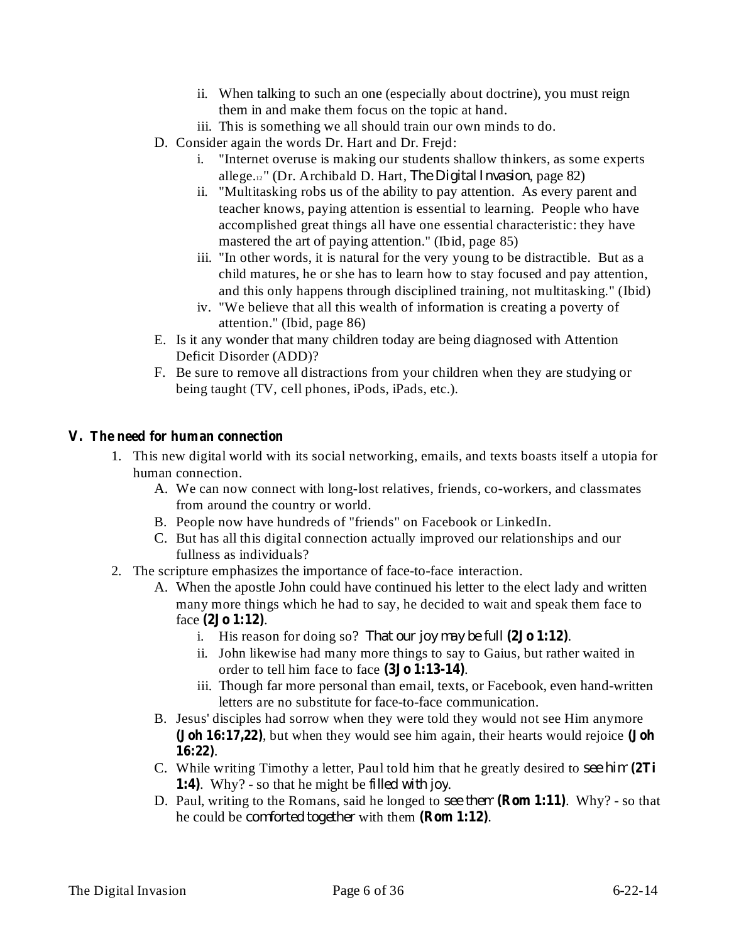- ii. When talking to such an one (especially about doctrine), you must reign them in and make them focus on the topic at hand.
- iii. This is something we all should train our own minds to do.
- D. Consider again the words Dr. Hart and Dr. Frejd:
	- i. "Internet overuse is making our students shallow thinkers, as some experts allege.<sup>12</sup><sup>"</sup> (Dr. Archibald D. Hart, *The Digital Invasion*, page 82)
	- ii. "Multitasking robs us of the ability to pay attention. As every parent and teacher knows, paying attention is essential to learning. People who have accomplished great things all have one essential characteristic: they have mastered the art of paying attention." (Ibid, page 85)
	- iii. "In other words, it is natural for the very young to be distractible. But as a child matures, he or she has to learn how to stay focused and pay attention, and this only happens through disciplined training, not multitasking." (Ibid)
	- iv. "We believe that all this wealth of information is creating a poverty of attention." (Ibid, page 86)
- E. Is it any wonder that many children today are being diagnosed with Attention Deficit Disorder (ADD)?
- F. Be sure to remove all distractions from your children when they are studying or being taught (TV, cell phones, iPods, iPads, etc.).

#### **V. The need for human connection**

- 1. This new digital world with its social networking, emails, and texts boasts itself a utopia for human connection.
	- A. We can now connect with long-lost relatives, friends, co-workers, and classmates from around the country or world.
	- B. People now have hundreds of "friends" on Facebook or LinkedIn.
	- C. But has all this digital connection actually improved our relationships and our fullness as individuals?
- 2. The scripture emphasizes the importance of face-to-face interaction.
	- A. When the apostle John could have continued his letter to the elect lady and written many more things which he had to say, he decided to wait and speak them face to face (2**Jo** 1:12).
		- i. His reason for doing so? That our joy may be full  $(2J_0 1:12)$ .
		- ii. John likewise had many more things to say to Gaius, but rather waited in order to tell him face to face (3Jo 1:13-14).
		- iii. Though far more personal than email, texts, or Facebook, even hand-written letters are no substitute for face-to-face communication.
	- B. Jesus' disciples had sorrow when they were told they would not see Him anymore **(Joh 16:17,22)**, but when they would see him again, their hearts would rejoice **(Joh** . **16:22)**
	- C. While writing Timothy a letter, Paul told him that he greatly desired to *see him* **(2Ti** 1:4). Why? - so that he might be *filled with joy*.
	- D. Paul, writing to the Romans, said he longed to see them (Rom 1:11). Why? so that he could be *comforted together* with them (**Rom 1:12**).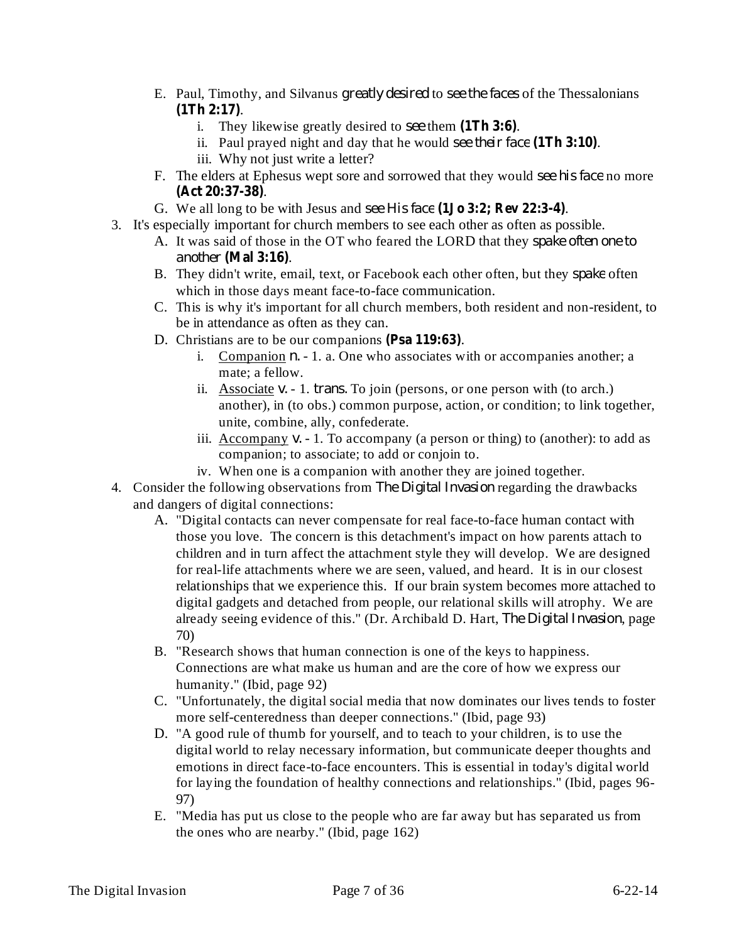- E. Paul, Timothy, and Silvanus greatly desired to see the faces of the Thessalonians . **(1Th 2:17)**
	- i. They likewise greatly desired to see them  $(1Th 3:6)$ .
	- ii. Paul prayed night and day that he would see their face  $(1Th 3:10)$ . iii. Why not just write a letter?
- F. The elders at Ephesus wept sore and sorrowed that they would see his face no more . **(Act 20:37-38)**
- G. We all long to be with Jesus and . *see His face* **(1Jo 3:2; Rev 22:3-4)**
- 3. It's especially important for church members to see each other as often as possible.
	- A. It was said of those in the OT who feared the LORD that they *spake often one to* . *another* **(Mal 3:16)**
	- B. They didn't write, email, text, or Facebook each other often, but they *spake* often which in those days meant face-to-face communication.
	- C. This is why it's important for all church members, both resident and non-resident, to be in attendance as often as they can.
	- D. Christians are to be our companions (Psa 119:63).
		- i. Companion  $n. 1$ . a. One who associates with or accompanies another; a mate; a fellow.
		- ii. Associate  $v. 1$ . *trans.* To join (persons, or one person with (to arch.) another), in (to obs.) common purpose, action, or condition; to link together, unite, combine, ally, confederate.
		- iii. Accompany v. 1. To accompany (a person or thing) to (another): to add as companion; to associate; to add or conjoin to.
		- iv. When one is a companion with another they are joined together.
- 4. Consider the following observations from *The Digital Invasion* regarding the drawbacks and dangers of digital connections:
	- A. "Digital contacts can never compensate for real face-to-face human contact with those you love. The concern is this detachment's impact on how parents attach to children and in turn affect the attachment style they will develop. We are designed for real-life attachments where we are seen, valued, and heard. It is in our closest relationships that we experience this. If our brain system becomes more attached to digital gadgets and detached from people, our relational skills will atrophy. We are already seeing evidence of this." (Dr. Archibald D. Hart, *The Digital Invasion*, page 70)
	- B. "Research shows that human connection is one of the keys to happiness. Connections are what make us human and are the core of how we express our humanity." (Ibid, page 92)
	- C. "Unfortunately, the digital social media that now dominates our lives tends to foster more self-centeredness than deeper connections." (Ibid, page 93)
	- D. "A good rule of thumb for yourself, and to teach to your children, is to use the digital world to relay necessary information, but communicate deeper thoughts and emotions in direct face-to-face encounters. This is essential in today's digital world for laying the foundation of healthy connections and relationships." (Ibid, pages 96- 97)
	- E. "Media has put us close to the people who are far away but has separated us from the ones who are nearby." (Ibid, page 162)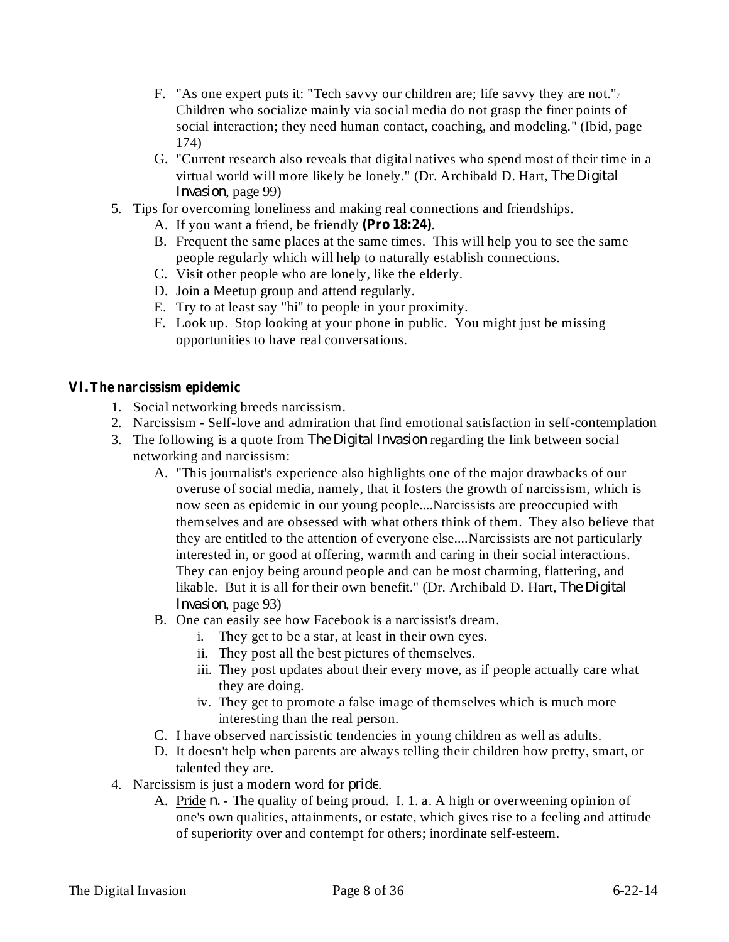- F. "As one expert puts it: "Tech savvy our children are; life savvy they are not." $\tau$ Children who socialize mainly via social media do not grasp the finer points of social interaction; they need human contact, coaching, and modeling." (Ibid, page 174)
- G. "Current research also reveals that digital natives who spend most of their time in a virtual world will more likely be lonely." (Dr. Archibald D. Hart, *The Digital* Invasion, page 99)
- 5. Tips for overcoming loneliness and making real connections and friendships.
	- A. If you want a friend, be friendly (Pro 18:24).
	- B. Frequent the same places at the same times. This will help you to see the same people regularly which will help to naturally establish connections.
	- C. Visit other people who are lonely, like the elderly.
	- D. Join a Meetup group and attend regularly.
	- E. Try to at least say "hi" to people in your proximity.
	- F. Look up. Stop looking at your phone in public. You might just be missing opportunities to have real conversations.

# **VI.The narcissism epidemic**

- 1. Social networking breeds narcissism.
- 2. Narcissism Self-love and admiration that find emotional satisfaction in self-contemplation
- 3. The following is a quote from *The Digital Invasion* regarding the link between social networking and narcissism:
	- A. "This journalist's experience also highlights one of the major drawbacks of our overuse of social media, namely, that it fosters the growth of narcissism, which is now seen as epidemic in our young people....Narcissists are preoccupied with themselves and are obsessed with what others think of them. They also believe that they are entitled to the attention of everyone else....Narcissists are not particularly interested in, or good at offering, warmth and caring in their social interactions. They can enjoy being around people and can be most charming, flattering, and likable. But it is all for their own benefit." (Dr. Archibald D. Hart, *The Digital* Invasion, page 93)
	- B. One can easily see how Facebook is a narcissist's dream.
		- i. They get to be a star, at least in their own eyes.
		- ii. They post all the best pictures of themselves.
		- iii. They post updates about their every move, as if people actually care what they are doing.
		- iv. They get to promote a false image of themselves which is much more interesting than the real person.
	- C. I have observed narcissistic tendencies in young children as well as adults.
	- D. It doesn't help when parents are always telling their children how pretty, smart, or talented they are.
- 4. Narcissism is just a modern word for *pride*.
	- A. Pride *n*. The quality of being proud. I. 1. a. A high or overweening opinion of one's own qualities, attainments, or estate, which gives rise to a feeling and attitude of superiority over and contempt for others; inordinate self-esteem.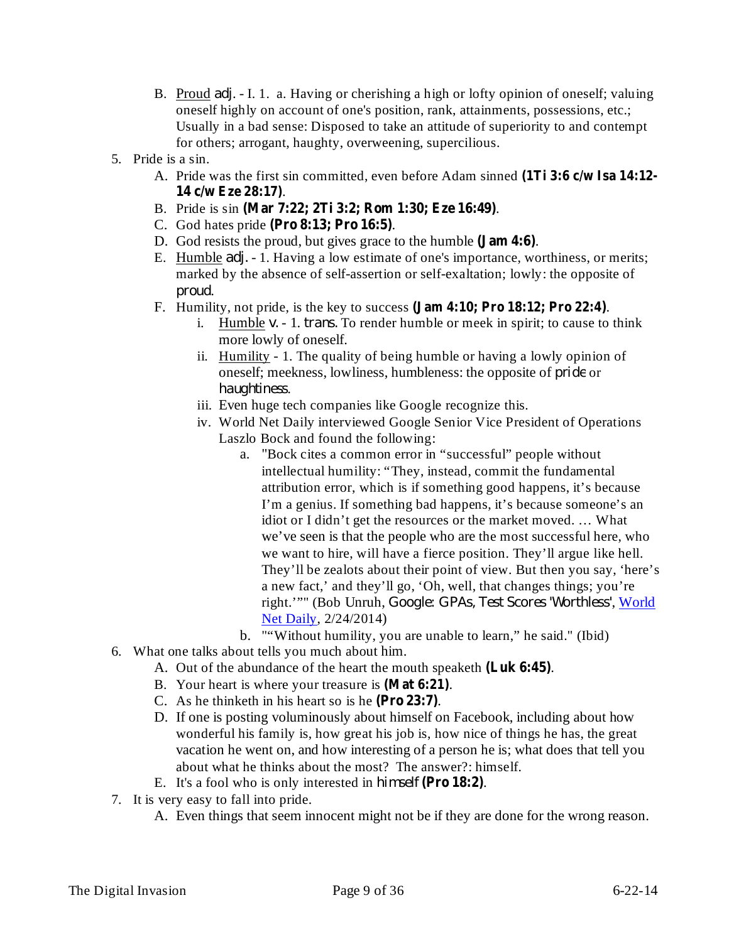- B. Proud *adj*. I. 1. a. Having or cherishing a high or lofty opinion of oneself; valuing oneself highly on account of one's position, rank, attainments, possessions, etc.; Usually in a bad sense: Disposed to take an attitude of superiority to and contempt for others; arrogant, haughty, overweening, supercilious.
- 5. Pride is a sin.
	- A. Pride was the first sin committed, even before Adam sinned **(1Ti 3:6 c/w Isa 14:12-** . **14 c/w Eze 28:17)**
	- B. Pride is sin . **(Mar 7:22; 2Ti 3:2; Rom 1:30; Eze 16:49)**
	- C. God hates pride . **(Pro 8:13; Pro 16:5)**
	- D. God resists the proud, but gives grace to the humble (**Jam 4:6**).
	- E. Humble *adj.* 1. Having a low estimate of one's importance, worthiness, or merits; marked by the absence of self-assertion or self-exaltation; lowly: the opposite of . *proud*
	- F. Humility, not pride, is the key to success  $\textbf{(Jam 4:10; Pro 18:12; Pro 22:4)}$ .
		- i. Humble *v.* 1. *trans.* To render humble or meek in spirit; to cause to think more lowly of oneself.
		- ii. Humility 1. The quality of being humble or having a lowly opinion of oneself; meekness, lowliness, humbleness: the opposite of *pride* or . *haughtiness*
		- iii. Even huge tech companies like Google recognize this.
		- iv. World Net Daily interviewed Google Senior Vice President of Operations Laszlo Bock and found the following:
			- a. "Bock cites a common error in "successful" people without intellectual humility: "They, instead, commit the fundamental attribution error, which is if something good happens, it's because I'm a genius. If something bad happens, it's because someone's an idiot or I didn't get the resources or the market moved. … What we've seen is that the people who are the most successful here, who we want to hire, will have a fierce position. They'll argue like hell. They'll be zealots about their point of view. But then you say, 'here's a new fact,' and they'll go, 'Oh, well, that changes things; you're right.''" (Bob Unruh, *Google: GPAs, Test Scores 'Worthless'*, *World* Net Daily, 2/24/2014)
			- b. **""Without humility**, you are unable to learn," he said." (Ibid)
- 6. What one talks about tells you much about him.
	- A. Out of the abundance of the heart the mouth speaketh (Luk 6:45).
	- B. Your heart is where your treasure is (Mat 6:21).
	- C. As he thinketh in his heart so is he  $(Pro 23:7)$ .
	- D. If one is posting voluminously about himself on Facebook, including about how wonderful his family is, how great his job is, how nice of things he has, the great vacation he went on, and how interesting of a person he is; what does that tell you about what he thinks about the most? The answer?: himself.
	- E. It's a fool who is only interested in himself (Pro 18:2).
- 7. It is very easy to fall into pride.
	- A. Even things that seem innocent might not be if they are done for the wrong reason.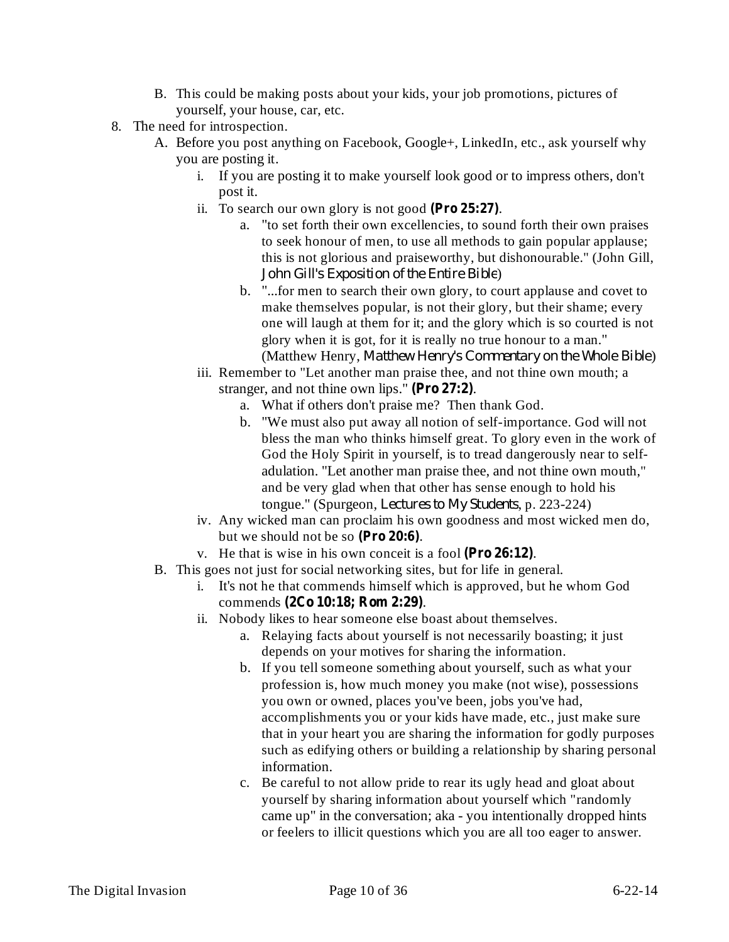- B. This could be making posts about your kids, your job promotions, pictures of yourself, your house, car, etc.
- 8. The need for introspection.
	- A. Before you post anything on Facebook, Google+, LinkedIn, etc., ask yourself why you are posting it.
		- i. If you are posting it to make yourself look good or to impress others, don't post it.
		- ii. To search our own glory is not good  $(Pro 25:27)$ .
			- a. "to set forth their own excellencies, to sound forth their own praises to seek honour of men, to use all methods to gain popular applause; this is not glorious and praiseworthy, but dishonourable." (John Gill, ) *John Gill's Exposition of the Entire Bible*
			- b. "...for men to search their own glory, to court applause and covet to make themselves popular, is not their glory, but their shame; every one will laugh at them for it; and the glory which is so courted is not glory when it is got, for it is really no true honour to a man." (Matthew Henry, Matthew Henry's Commentary on the Whole Bible)
		- iii. Remember to "Let another man praise thee, and not thine own mouth; a stranger, and not thine own lips."  $(Pro 27:2)$ .
			- a. What if others don't praise me? Then thank God.
			- b. "We must also put away all notion of self-importance. God will not bless the man who thinks himself great. To glory even in the work of God the Holy Spirit in yourself, is to tread dangerously near to selfadulation. "Let another man praise thee, and not thine own mouth," and be very glad when that other has sense enough to hold his tongue." (Spurgeon, *Lectures to My Students*, p. 223-224)
		- iv. Any wicked man can proclaim his own goodness and most wicked men do, but we should not be so (Pro 20:6).
		- $v$ . He that is wise in his own conceit is a fool  $(Pro 26:12)$ .
	- B. This goes not just for social networking sites, but for life in general.
		- i. It's not he that commends himself which is approved, but he whom God commends . **(2Co 10:18; Rom 2:29)**
		- ii. Nobody likes to hear someone else boast about themselves.
			- a. Relaying facts about yourself is not necessarily boasting; it just depends on your motives for sharing the information.
			- b. If you tell someone something about yourself, such as what your profession is, how much money you make (not wise), possessions you own or owned, places you've been, jobs you've had, accomplishments you or your kids have made, etc., just make sure that in your heart you are sharing the information for godly purposes such as edifying others or building a relationship by sharing personal information.
			- c. Be careful to not allow pride to rear its ugly head and gloat about yourself by sharing information about yourself which "randomly came up" in the conversation; aka - you intentionally dropped hints or feelers to illicit questions which you are all too eager to answer.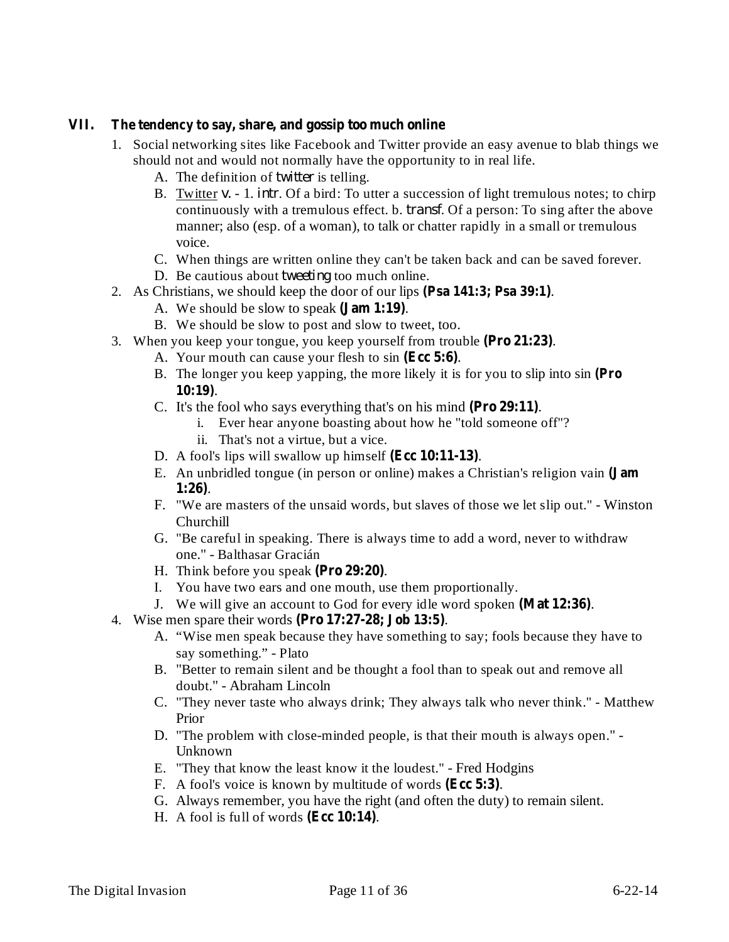#### **VII. The tendency to say, share, and gossip too much online**

- 1. Social networking sites like Facebook and Twitter provide an easy avenue to blab things we should not and would not normally have the opportunity to in real life.
	- A. The definition of *twitter* is telling.
	- B. Twitter v. 1. *intr*. Of a bird: To utter a succession of light tremulous notes; to chirp continuously with a tremulous effect. b. *transf*. Of a person: To sing after the above manner; also (esp. of a woman), to talk or chatter rapidly in a small or tremulous voice.
	- C. When things are written online they can't be taken back and can be saved forever.
	- D. Be cautious about *tweeting* too much online.
- 2. As Christians, we should keep the door of our lips (Psa 141:3; Psa 39:1).
	- A. We should be slow to speak (**Jam 1:19**).
	- B. We should be slow to post and slow to tweet, too.
- 3. When you keep your tongue, you keep yourself from trouble (Pro 21:23).
	- A. Your mouth can cause your flesh to sin (Ecc 5:6).
	- B. The longer you keep yapping, the more likely it is for you to slip into sin **(Pro** . **10:19)**
	- C. It's the fool who says everything that's on his mind (Pro 29:11).
		- i. Ever hear anyone boasting about how he "told someone off"?
		- ii. That's not a virtue, but a vice.
	- D. A fool's lips will swallow up himself (Ecc 10:11-13).
	- E. An unbridled tongue (in person or online) makes a Christian's religion vain **(Jam** . **1:26)**
	- F. "We are masters of the unsaid words, but slaves of those we let slip out." Winston Churchill
	- G. "Be careful in speaking. There is always time to add a word, never to withdraw one." - Balthasar Gracián
	- H. Think before you speak (Pro 29:20).
	- I. You have two ears and one mouth, use them proportionally.
	- J. We will give an account to God for every idle word spoken (Mat 12:36).
- 4. Wise men spare their words . **(Pro 17:27-28; Job 13:5)**
	- A. "Wise men speak because they have something to say; fools because they have to say something." - Plato
	- B. "Better to remain silent and be thought a fool than to speak out and remove all doubt." - Abraham Lincoln
	- C. "They never taste who always drink; They always talk who never think." Matthew Prior
	- D. "The problem with close-minded people, is that their mouth is always open." Unknown
	- E. "They that know the least know it the loudest." Fred Hodgins
	- F. A fool's voice is known by multitude of words (Ecc 5:3).
	- G. Always remember, you have the right (and often the duty) to remain silent.
	- H. A fool is full of words (Ecc 10:14).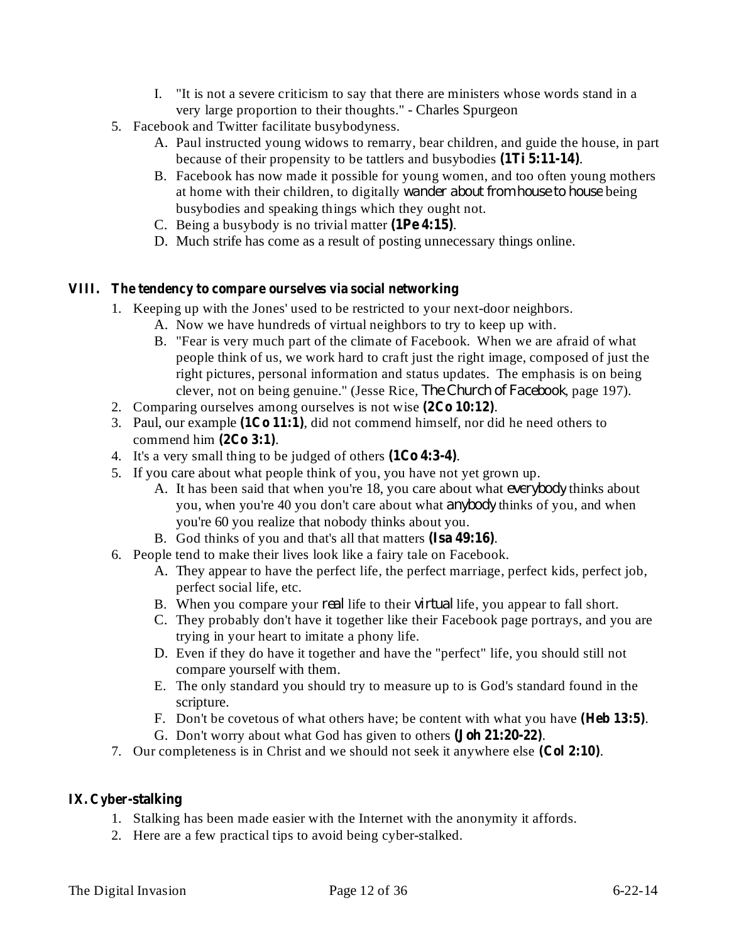- I. "It is not a severe criticism to say that there are ministers whose words stand in a very large proportion to their thoughts." - Charles Spurgeon
- 5. Facebook and Twitter facilitate busybodyness.
	- A. Paul instructed young widows to remarry, bear children, and guide the house, in part because of their propensity to be tattlers and busybodies (1Ti 5:11-14).
	- B. Facebook has now made it possible for young women, and too often young mothers at home with their children, to digitally *wander about from house to house* being busybodies and speaking things which they ought not.
	- C. Being a busybody is no trivial matter  $(1Pe 4:15)$ .
	- D. Much strife has come as a result of posting unnecessary things online.

# **VIII. The tendency to compare ourselves via social networking**

- 1. Keeping up with the Jones' used to be restricted to your next-door neighbors.
	- A. Now we have hundreds of virtual neighbors to try to keep up with.
		- B. "Fear is very much part of the climate of Facebook. When we are afraid of what people think of us, we work hard to craft just the right image, composed of just the right pictures, personal information and status updates. The emphasis is on being clever, not on being genuine." (Jesse Rice, *The Church of Facebook*, page 197).
- 2. Comparing ourselves among ourselves is not wise  $(2C<sub>0</sub> 10:12)$ .
- 3. Paul, our example  $(1Co 11:1)$ , did not commend himself, nor did he need others to commend him  $(2Co 3:1)$ .
- 4. It's a very small thing to be judged of others  $(1Co 4:3-4)$ .
- 5. If you care about what people think of you, you have not yet grown up.
	- A. It has been said that when you're 18, you care about what *everybody* thinks about you, when you're 40 you don't care about what *anybody* thinks of you, and when you're 60 you realize that nobody thinks about you.
	- B. God thinks of you and that's all that matters (Isa 49:16).
- 6. People tend to make their lives look like a fairy tale on Facebook.
	- A. They appear to have the perfect life, the perfect marriage, perfect kids, perfect job, perfect social life, etc.
	- B. When you compare your *real* life to their *virtual* life, you appear to fall short.
	- C. They probably don't have it together like their Facebook page portrays, and you are trying in your heart to imitate a phony life.
	- D. Even if they do have it together and have the "perfect" life, you should still not compare yourself with them.
	- E. The only standard you should try to measure up to is God's standard found in the scripture.
	- F. Don't be covetous of what others have; be content with what you have (Heb 13:5).
	- G. Don't worry about what God has given to others (**Joh 21:20-22**).
- 7. Our completeness is in Christ and we should not seek it anywhere else (Col 2:10).

# **IX. Cyber-stalking**

- 1. Stalking has been made easier with the Internet with the anonymity it affords.
- 2. Here are a few practical tips to avoid being cyber-stalked.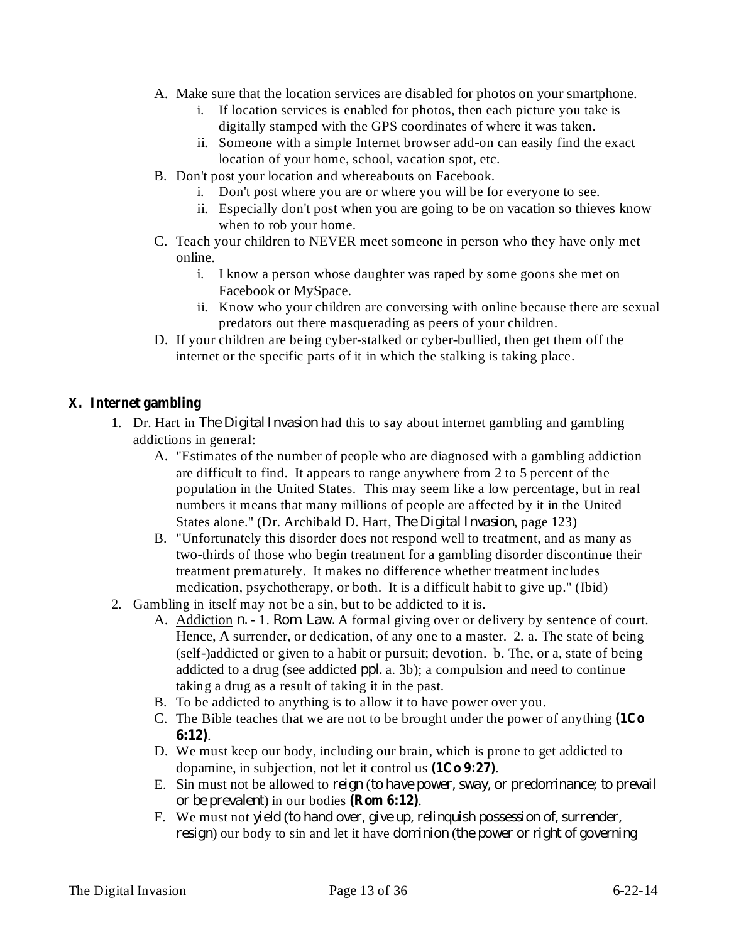- A. Make sure that the location services are disabled for photos on your smartphone.
	- i. If location services is enabled for photos, then each picture you take is digitally stamped with the GPS coordinates of where it was taken.
	- ii. Someone with a simple Internet browser add-on can easily find the exact location of your home, school, vacation spot, etc.
- B. Don't post your location and whereabouts on Facebook.
	- i. Don't post where you are or where you will be for everyone to see.
	- ii. Especially don't post when you are going to be on vacation so thieves know when to rob your home.
- C. Teach your children to NEVER meet someone in person who they have only met online.
	- i. I know a person whose daughter was raped by some goons she met on Facebook or MySpace.
	- ii. Know who your children are conversing with online because there are sexual predators out there masquerading as peers of your children.
- D. If your children are being cyber-stalked or cyber-bullied, then get them off the internet or the specific parts of it in which the stalking is taking place.

# **X. Internet gambling**

- 1. Dr. Hart in *The Digital Invasion* had this to say about internet gambling and gambling addictions in general:
	- A. "Estimates of the number of people who are diagnosed with a gambling addiction are difficult to find. It appears to range anywhere from 2 to 5 percent of the population in the United States. This may seem like a low percentage, but in real numbers it means that many millions of people are affected by it in the United States alone." (Dr. Archibald D. Hart, *The Digital Invasion*, page 123)
	- B. "Unfortunately this disorder does not respond well to treatment, and as many as two-thirds of those who begin treatment for a gambling disorder discontinue their treatment prematurely. It makes no difference whether treatment includes medication, psychotherapy, or both. It is a difficult habit to give up." (Ibid)
- 2. Gambling in itself may not be a sin, but to be addicted to it is.
	- A. Addiction *n.* 1. *Rom. Law.* A formal giving over or delivery by sentence of court. Hence, A surrender, or dedication, of any one to a master. 2. a. The state of being (self-)addicted or given to a habit or pursuit; devotion. b. The, or a, state of being addicted to a drug (see addicted *ppl.* a. 3b); a compulsion and need to continue taking a drug as a result of taking it in the past.
	- B. To be addicted to anything is to allow it to have power over you.
	- C. The Bible teaches that we are not to be brought under the power of anything **(1Co** . **6:12)**
	- D. We must keep our body, including our brain, which is prone to get addicted to dopamine, in subjection, not let it control us  $(1C<sub>0</sub> 9:27)$ .
	- E. Sin must not be allowed to ( *reign to have power, sway, or predominance; to prevail* ) in our bodies . **(Rom 6:12)** *or be prevalent*
	- F. We must not ( *yield to hand over, give up, relinquish possession of, surrender, resign*) our body to sin and let it have *dominion* (the power or right of governing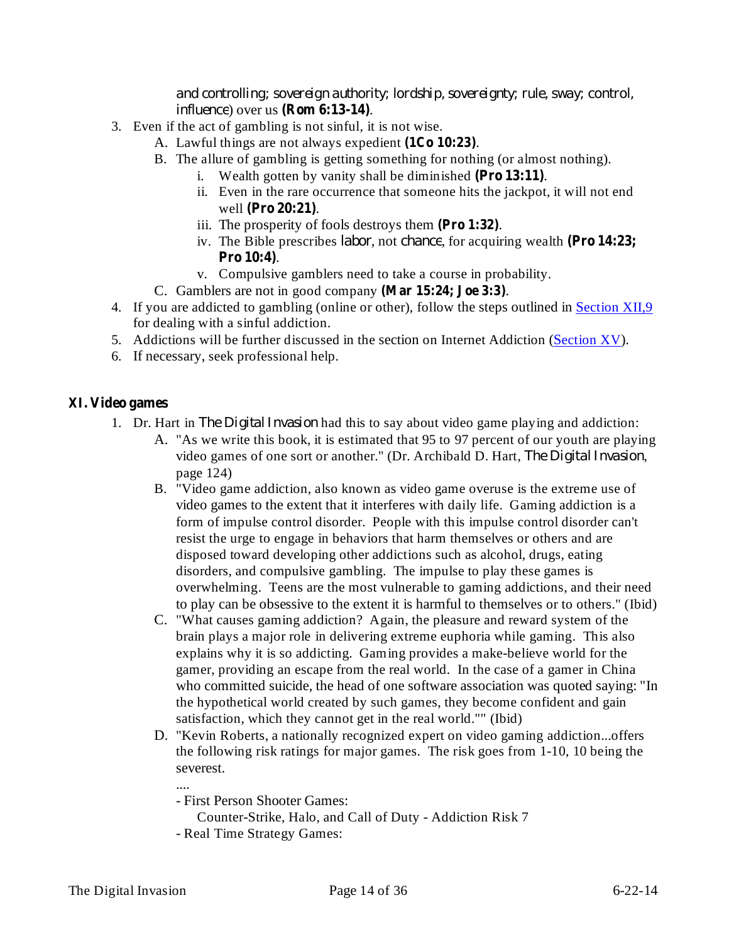*influence*) over us (**Rom 6:13-14**). *and controlling; sovereign authority; lordship, sovereignty; rule, sway; control,*

- 3. Even if the act of gambling is not sinful, it is not wise.
	- A. Lawful things are not always expedient (1Co 10:23).
	- B. The allure of gambling is getting something for nothing (or almost nothing).
		- i. Wealth gotten by vanity shall be diminished (Pro 13:11).
		- ii. Even in the rare occurrence that someone hits the jackpot, it will not end well (Pro 20:21).
		- iii. The prosperity of fools destroys them (Pro 1:32).
		- iv. The Bible prescribes *labor*, not *chance*, for acquiring wealth (Pro 14:23; . **Pro 10:4)**
		- v. Compulsive gamblers need to take a course in probability.
	- C. Gamblers are not in good company (Mar 15:24; Joe 3:3).
- 4. If you are addicted to gambling (online or other), follow the steps outlined in Section XII,9 for dealing with a sinful addiction.
- 5. Addictions will be further discussed in the section on Internet Addiction (Section XV).
- 6. If necessary, seek professional help.

# **XI. Video games**

- 1. Dr. Hart in *The Digital Invasion* had this to say about video game playing and addiction:
	- A. "As we write this book, it is estimated that 95 to 97 percent of our youth are playing video games of one sort or another." (Dr. Archibald D. Hart, *The Digital Invasion*, page 124)
	- B. "Video game addiction, also known as video game overuse is the extreme use of video games to the extent that it interferes with daily life. Gaming addiction is a form of impulse control disorder. People with this impulse control disorder can't resist the urge to engage in behaviors that harm themselves or others and are disposed toward developing other addictions such as alcohol, drugs, eating disorders, and compulsive gambling. The impulse to play these games is overwhelming. Teens are the most vulnerable to gaming addictions, and their need to play can be obsessive to the extent it is harmful to themselves or to others." (Ibid)
	- C. "What causes gaming addiction? Again, the pleasure and reward system of the brain plays a major role in delivering extreme euphoria while gaming. This also explains why it is so addicting. Gaming provides a make-believe world for the gamer, providing an escape from the real world. In the case of a gamer in China who committed suicide, the head of one software association was quoted saying: "In the hypothetical world created by such games, they become confident and gain satisfaction, which they cannot get in the real world."" (Ibid)
	- D. "Kevin Roberts, a nationally recognized expert on video gaming addiction...offers the following risk ratings for major games. The risk goes from 1-10, 10 being the severest.

....

- First Person Shooter Games:

Counter-Strike, Halo, and Call of Duty - Addiction Risk 7

- Real Time Strategy Games: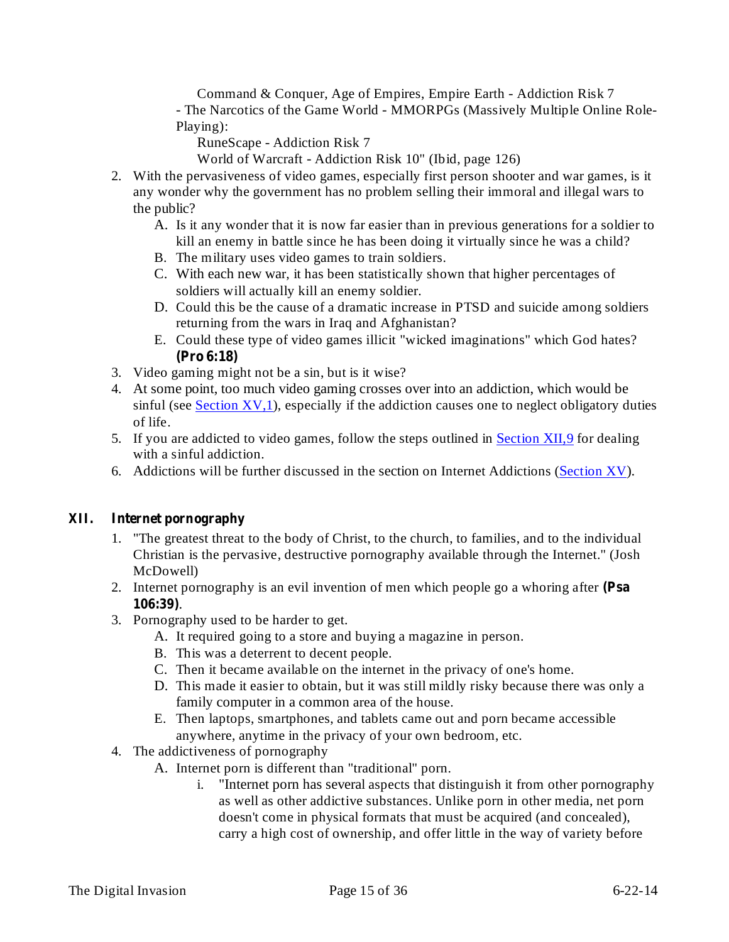Command & Conquer, Age of Empires, Empire Earth - Addiction Risk 7 - The Narcotics of the Game World - MMORPGs (Massively Multiple Online Role-Playing):

RuneScape - Addiction Risk 7

World of Warcraft - Addiction Risk 10" (Ibid, page 126)

- 2. With the pervasiveness of video games, especially first person shooter and war games, is it any wonder why the government has no problem selling their immoral and illegal wars to the public?
	- A. Is it any wonder that it is now far easier than in previous generations for a soldier to kill an enemy in battle since he has been doing it virtually since he was a child?
	- B. The military uses video games to train soldiers.
	- C. With each new war, it has been statistically shown that higher percentages of soldiers will actually kill an enemy soldier.
	- D. Could this be the cause of a dramatic increase in PTSD and suicide among soldiers returning from the wars in Iraq and Afghanistan?
	- E. Could these type of video games illicit "wicked imaginations" which God hates? **(Pro 6:18)**
- 3. Video gaming might not be a sin, but is it wise?
- 4. At some point, too much video gaming crosses over into an addiction, which would be sinful (see Section  $XV$ , 1), especially if the addiction causes one to neglect obligatory duties of life.
- 5. If you are addicted to video games, follow the steps outlined in **Section XII,9** for dealing with a sinful addiction.
- 6. Addictions will be further discussed in the section on Internet Addictions (Section XV).

# **XII. Internet pornography**

- 1. "The greatest threat to the body of Christ, to the church, to families, and to the individual Christian is the pervasive, destructive pornography available through the Internet." (Josh McDowell)
- 2. Internet pornography is an evil invention of men which people go a whoring after **(Psa** . **106:39)**
- 3. Pornography used to be harder to get.
	- A. It required going to a store and buying a magazine in person.
	- B. This was a deterrent to decent people.
	- C. Then it became available on the internet in the privacy of one's home.
	- D. This made it easier to obtain, but it was still mildly risky because there was only a family computer in a common area of the house.
	- E. Then laptops, smartphones, and tablets came out and porn became accessible anywhere, anytime in the privacy of your own bedroom, etc.
- 4. The addictiveness of pornography
	- A. Internet porn is different than "traditional" porn.
		- i. "Internet porn has several aspects that distinguish it from other pornography as well as other addictive substances. Unlike porn in other media, net porn doesn't come in physical formats that must be acquired (and concealed), carry a high cost of ownership, and offer little in the way of variety before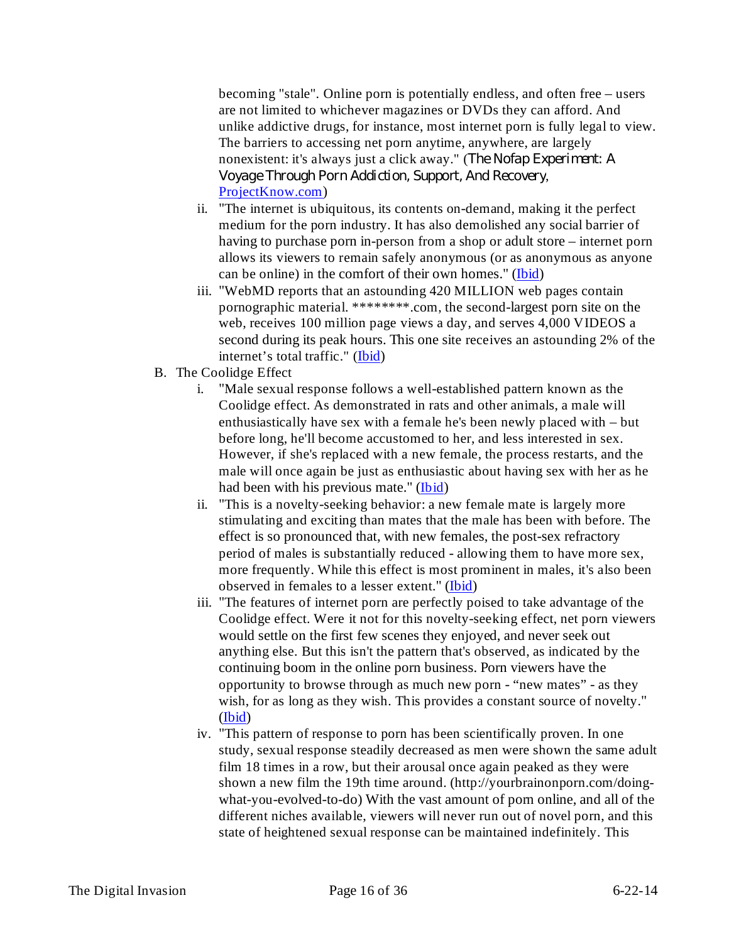becoming "stale". Online porn is potentially endless, and often free – users are not limited to whichever magazines or DVDs they can afford. And unlike addictive drugs, for instance, most internet porn is fully legal to view. The barriers to accessing net porn anytime, anywhere, are largely nonexistent: it's always just a click away." ( *The Nofap Experiment: A* , *Voyage Through Porn Addiction, Support, And Recovery*ProjectKnow.com)

- ii. "The internet is ubiquitous, its contents on-demand, making it the perfect medium for the porn industry. It has also demolished any social barrier of having to purchase porn in-person from a shop or adult store – internet porn allows its viewers to remain safely anonymous (or as anonymous as anyone can be online) in the comfort of their own homes." (Ibid)
- iii. "WebMD reports that an astounding 420 MILLION web pages contain pornographic material. \*\*\*\*\*\*\*\*.com, the second-largest porn site on the web, receives 100 million page views a day, and serves 4,000 VIDEOS a second during its peak hours. This one site receives an astounding 2% of the internet's total traffic." (Ibid)
- B. The Coolidge Effect
	- i. "Male sexual response follows a well-established pattern known as the Coolidge effect. As demonstrated in rats and other animals, a male will enthusiastically have sex with a female he's been newly placed with – but before long, he'll become accustomed to her, and less interested in sex. However, if she's replaced with a new female, the process restarts, and the male will once again be just as enthusiastic about having sex with her as he had been with his previous mate." (Ibid)
	- ii. "This is a novelty-seeking behavior: a new female mate is largely more stimulating and exciting than mates that the male has been with before. The effect is so pronounced that, with new females, the post-sex refractory period of males is substantially reduced - allowing them to have more sex, more frequently. While this effect is most prominent in males, it's also been observed in females to a lesser extent." (Ibid)
	- iii. "The features of internet porn are perfectly poised to take advantage of the Coolidge effect. Were it not for this novelty-seeking effect, net porn viewers would settle on the first few scenes they enjoyed, and never seek out anything else. But this isn't the pattern that's observed, as indicated by the continuing boom in the online porn business. Porn viewers have the opportunity to browse through as much new porn - "new mates" - as they wish, for as long as they wish. This provides a constant source of novelty." (Ibid)
	- iv. "This pattern of response to porn has been scientifically proven. In one study, sexual response steadily decreased as men were shown the same adult film 18 times in a row, but their arousal once again peaked as they were shown a new film the 19th time around. (http://yourbrainonporn.com/doingwhat-you-evolved-to-do) With the vast amount of porn online, and all of the different niches available, viewers will never run out of novel porn, and this state of heightened sexual response can be maintained indefinitely. This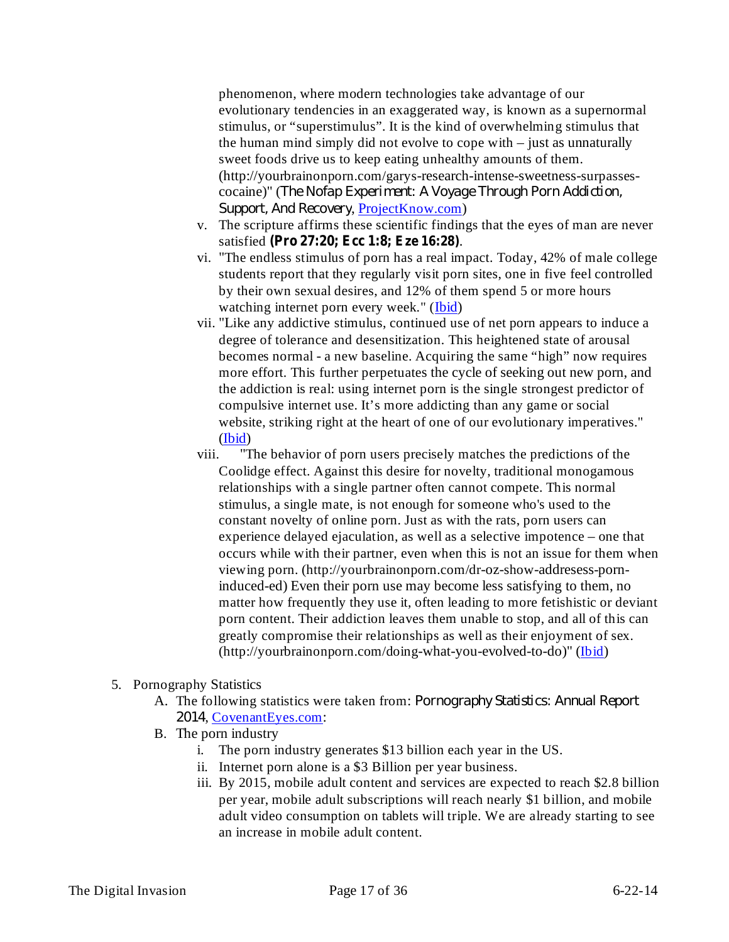phenomenon, where modern technologies take advantage of our evolutionary tendencies in an exaggerated way, is known as a supernormal stimulus, or "superstimulus". It is the kind of overwhelming stimulus that the human mind simply did not evolve to cope with – just as unnaturally sweet foods drive us to keep eating unhealthy amounts of them. (http://yourbrainonporn.com/garys-research-intense-sweetness-surpassescocaine)" ( *The Nofap Experiment: A Voyage Through Porn Addiction,* Support, And Recovery, ProjectKnow.com)

- v. The scripture affirms these scientific findings that the eyes of man are never satisfied . **(Pro 27:20; Ecc 1:8; Eze 16:28)**
- vi. "The endless stimulus of porn has a real impact. Today, 42% of male college students report that they regularly visit porn sites, one in five feel controlled by their own sexual desires, and 12% of them spend 5 or more hours watching internet porn every week." (Ibid)
- vii. "Like any addictive stimulus, continued use of net porn appears to induce a degree of tolerance and desensitization. This heightened state of arousal becomes normal - a new baseline. Acquiring the same "high" now requires more effort. This further perpetuates the cycle of seeking out new porn, and the addiction is real: using internet porn is the single strongest predictor of compulsive internet use. It's more addicting than any game or social website, striking right at the heart of one of our evolutionary imperatives." (Ibid)
- viii. "The behavior of porn users precisely matches the predictions of the Coolidge effect. Against this desire for novelty, traditional monogamous relationships with a single partner often cannot compete. This normal stimulus, a single mate, is not enough for someone who's used to the constant novelty of online porn. Just as with the rats, porn users can experience delayed ejaculation, as well as a selective impotence – one that occurs while with their partner, even when this is not an issue for them when viewing porn. (http://yourbrainonporn.com/dr-oz-show-addresess-porninduced-ed) Even their porn use may become less satisfying to them, no matter how frequently they use it, often leading to more fetishistic or deviant porn content. Their addiction leaves them unable to stop, and all of this can greatly compromise their relationships as well as their enjoyment of sex. (http://yourbrainonporn.com/doing-what-you-evolved-to-do)" (Ibid)

# 5. Pornography Statistics

- A. The following statistics were taken from: *Pornography Statistics: Annual Report* , CovenantEyes.com: *2014*
- B. The porn industry
	- i. The porn industry generates \$13 billion each year in the US.
	- ii. Internet porn alone is a \$3 Billion per year business.
	- iii. By 2015, mobile adult content and services are expected to reach \$2.8 billion per year, mobile adult subscriptions will reach nearly \$1 billion, and mobile adult video consumption on tablets will triple. We are already starting to see an increase in mobile adult content.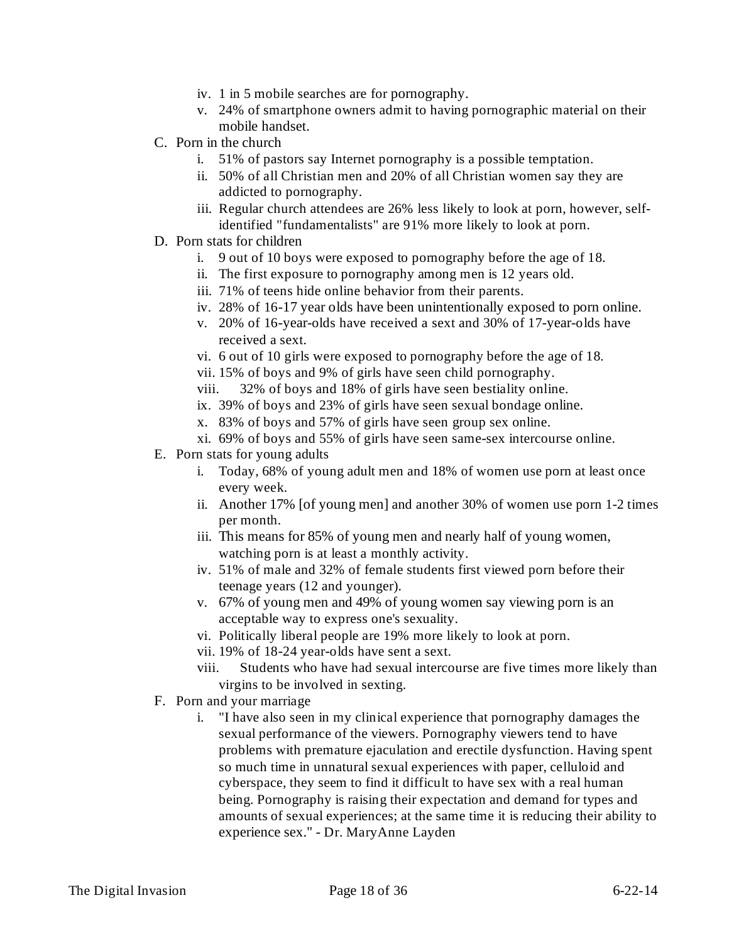- iv. 1 in 5 mobile searches are for pornography.
- v. 24% of smartphone owners admit to having pornographic material on their mobile handset.
- C. Porn in the church
	- i. 51% of pastors say Internet pornography is a possible temptation.
	- ii. 50% of all Christian men and 20% of all Christian women say they are addicted to pornography.
	- iii. Regular church attendees are 26% less likely to look at porn, however, selfidentified "fundamentalists" are 91% more likely to look at porn.
- D. Porn stats for children
	- i. 9 out of 10 boys were exposed to pornography before the age of 18.
	- ii. The first exposure to pornography among men is 12 years old.
	- iii. 71% of teens hide online behavior from their parents.
	- iv. 28% of 16-17 year olds have been unintentionally exposed to porn online.
	- v. 20% of 16-year-olds have received a sext and 30% of 17-year-olds have received a sext.
	- vi. 6 out of 10 girls were exposed to pornography before the age of 18.
	- vii. 15% of boys and 9% of girls have seen child pornography.
	- viii. 32% of boys and 18% of girls have seen bestiality online.
	- ix. 39% of boys and 23% of girls have seen sexual bondage online.
	- x. 83% of boys and 57% of girls have seen group sex online.
	- xi. 69% of boys and 55% of girls have seen same-sex intercourse online.
- E. Porn stats for young adults
	- i. Today, 68% of young adult men and 18% of women use porn at least once every week.
	- ii. Another 17% [of young men] and another 30% of women use porn 1-2 times per month.
	- iii. This means for 85% of young men and nearly half of young women, watching porn is at least a monthly activity.
	- iv. 51% of male and 32% of female students first viewed porn before their teenage years (12 and younger).
	- v. 67% of young men and 49% of young women say viewing porn is an acceptable way to express one's sexuality.
	- vi. Politically liberal people are 19% more likely to look at porn.
	- vii. 19% of 18-24 year-olds have sent a sext.
	- viii. Students who have had sexual intercourse are five times more likely than virgins to be involved in sexting.
- F. Porn and your marriage
	- i. "I have also seen in my clinical experience that pornography damages the sexual performance of the viewers. Pornography viewers tend to have problems with premature ejaculation and erectile dysfunction. Having spent so much time in unnatural sexual experiences with paper, celluloid and cyberspace, they seem to find it difficult to have sex with a real human being. Pornography is raising their expectation and demand for types and amounts of sexual experiences; at the same time it is reducing their ability to experience sex." - Dr. MaryAnne Layden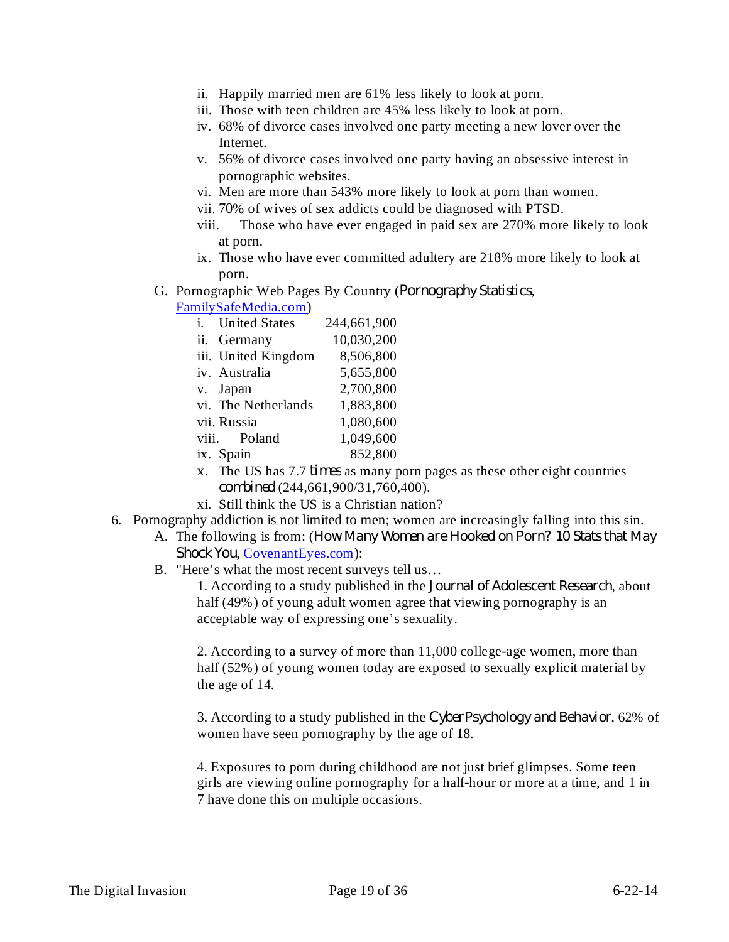- ii. Happily married men are 61% less likely to look at porn.
- iii. Those with teen children are 45% less likely to look at porn.
- iv. 68% of divorce cases involved one party meeting a new lover over the Internet.
- v. 56% of divorce cases involved one party having an obsessive interest in pornographic websites.
- vi. Men are more than 543% more likely to look at porn than women.
- vii. 70% of wives of sex addicts could be diagnosed with PTSD.
- viii. Those who have ever engaged in paid sex are 270% more likely to look at porn.
- ix. Those who have ever committed adultery are 218% more likely to look at porn.
- G. Pornographic Web Pages By Country (Pornography Statistics,
	- FamilySafeMedia.com)

| i. United States    | 244,661,900 |
|---------------------|-------------|
| ii. Germany         | 10,030,200  |
| iii. United Kingdom | 8,506,800   |
| iv. Australia       | 5,655,800   |
| v. Japan            | 2,700,800   |
| vi. The Netherlands | 1,883,800   |
| vii. Russia         | 1,080,600   |
| viii. Poland        | 1,049,600   |
| ix. Spain           | 852,800     |
|                     |             |

- x. The US has 7.7 *times* as many porn pages as these other eight countries (244,661,900/31,760,400). *combined*
- xi. Still think the US is a Christian nation?
- 6. Pornography addiction is not limited to men; women are increasingly falling into this sin.
	- A. The following is from: ( *How Many Women are Hooked on Porn? 10 Stats that May* Shock You, CovenantEyes.com):
	- B. "Here's what the most recent surveys tell us…

1. According to a study published in the *Journal of Adolescent Research*, about half (49%) of young adult women agree that viewing pornography is an acceptable way of expressing one's sexuality.

2. According to a survey of more than 11,000 college-age women, more than half (52%) of young women today are exposed to sexually explicit material by the age of 14.

3. According to a study published in the CyberPsychology and Behavior, 62% of women have seen pornography by the age of 18.

4. Exposures to porn during childhood are not just brief glimpses. Some teen girls are viewing online pornography for a half-hour or more at a time, and 1 in 7 have done this on multiple occasions.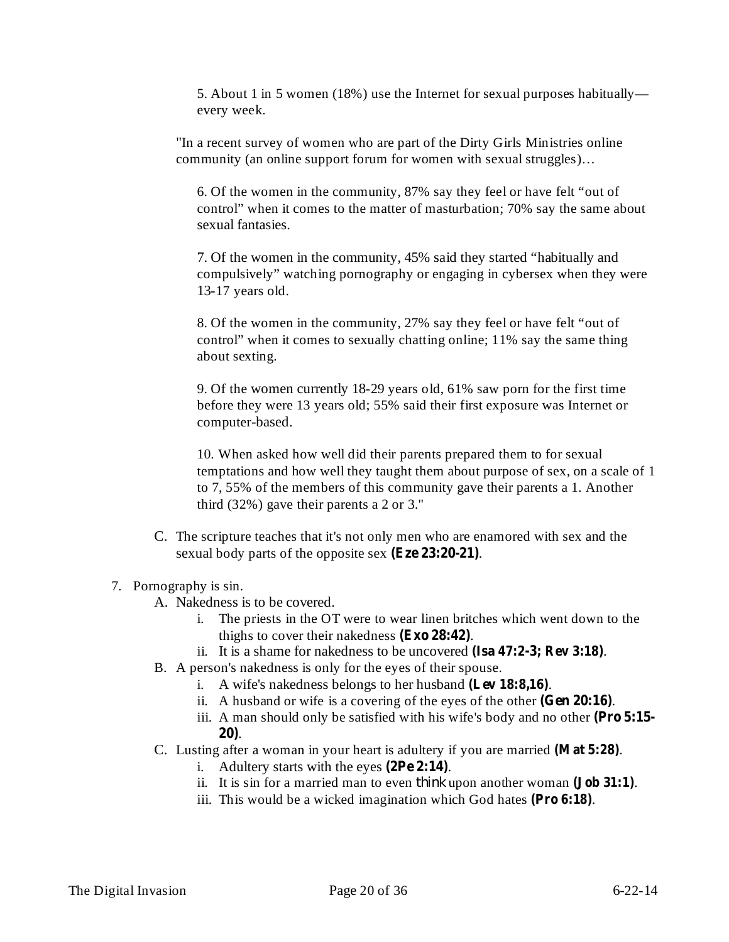5. About 1 in 5 women (18%) use the Internet for sexual purposes habitually every week.

"In a recent survey of women who are part of the Dirty Girls Ministries online community (an online support forum for women with sexual struggles)…

6. Of the women in the community, 87% say they feel or have felt "out of control" when it comes to the matter of masturbation; 70% say the same about sexual fantasies.

7. Of the women in the community, 45% said they started "habitually and compulsively" watching pornography or engaging in cybersex when they were 13-17 years old.

8. Of the women in the community, 27% say they feel or have felt "out of control" when it comes to sexually chatting online; 11% say the same thing about sexting.

9. Of the women currently 18-29 years old, 61% saw porn for the first time before they were 13 years old; 55% said their first exposure was Internet or computer-based.

10. When asked how well did their parents prepared them to for sexual temptations and how well they taught them about purpose of sex, on a scale of 1 to 7, 55% of the members of this community gave their parents a 1. Another third (32%) gave their parents a 2 or 3."

C. The scripture teaches that it's not only men who are enamored with sex and the sexual body parts of the opposite sex (Eze 23:20-21).

# 7. Pornography is sin.

- A. Nakedness is to be covered.
	- i. The priests in the OT were to wear linen britches which went down to the thighs to cover their nakedness  $(Exo 28:42)$ .
	- ii. It is a shame for nakedness to be uncovered (Isa 47:2-3; Rev 3:18).
- B. A person's nakedness is only for the eyes of their spouse.
	- i. A wife's nakedness belongs to her husband (Lev 18:8,16).
	- ii. A husband or wife is a covering of the eyes of the other  $(Gen 20:16)$ .
	- iii. A man should only be satisfied with his wife's body and no other **(Pro 5:15-** . **20)**
- C. Lusting after a woman in your heart is adultery if you are married (Mat 5:28).
	- i. Adultery starts with the eyes  $(2Pe 2:14)$ .
	- ii. It is sin for a married man to even *think* upon another woman (**Job** 31:1).
	- iii. This would be a wicked imagination which God hates (Pro 6:18).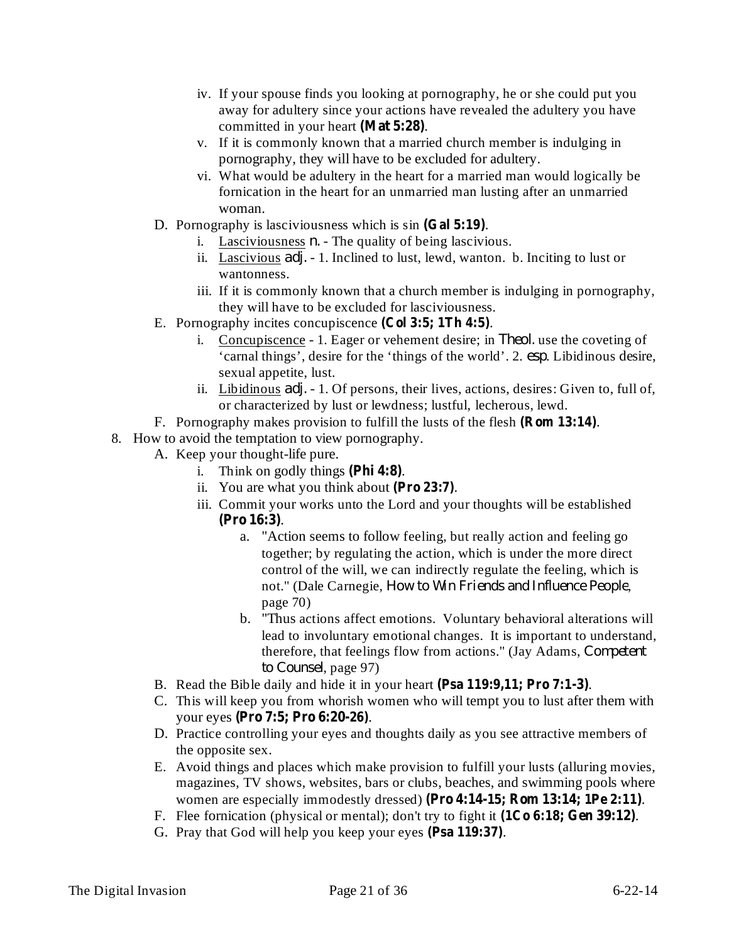- iv. If your spouse finds you looking at pornography, he or she could put you away for adultery since your actions have revealed the adultery you have committed in your heart (Mat 5:28).
- v. If it is commonly known that a married church member is indulging in pornography, they will have to be excluded for adultery.
- vi. What would be adultery in the heart for a married man would logically be fornication in the heart for an unmarried man lusting after an unmarried woman.
- D. Pornography is lasciviousness which is sin (Gal 5:19).
	- i. Lasciviousness  $n$ . The quality of being lascivious.
	- ii. Lascivious *adj.* 1. Inclined to lust, lewd, wanton. b. Inciting to lust or wantonness.
	- iii. If it is commonly known that a church member is indulging in pornography, they will have to be excluded for lasciviousness.
- E. Pornography incites concupiscence (Col 3:5; 1Th 4:5).
	- i. Concupiscence 1. Eager or vehement desire; in *Theol.* use the coveting of 'carnal things', desire for the 'things of the world'. 2. esp. Libidinous desire, sexual appetite, lust.
	- ii. Libidinous *adj.* 1. Of persons, their lives, actions, desires: Given to, full of, or characterized by lust or lewdness; lustful, lecherous, lewd.
- F. Pornography makes provision to fulfill the lusts of the flesh (**Rom 13:14**).
- 8. How to avoid the temptation to view pornography.
	- A. Keep your thought-life pure.
		- i. Think on godly things  $(\text{Phi 4:8})$ .
		- ii. You are what you think about (Pro 23:7).
		- iii. Commit your works unto the Lord and your thoughts will be established . **(Pro 16:3)**
			- a. "Action seems to follow feeling, but really action and feeling go together; by regulating the action, which is under the more direct control of the will, we can indirectly regulate the feeling, which is not." (Dale Carnegie, , *How to Win Friends and Influence People* page 70)
			- b. "Thus actions affect emotions. Voluntary behavioral alterations will lead to involuntary emotional changes. It is important to understand, therefore, that feelings flow from actions." (Jay Adams, *Competent* to *Counsel*, page 97)
	- B. Read the Bible daily and hide it in your heart (Psa 119:9,11; Pro 7:1-3).
	- C. This will keep you from whorish women who will tempt you to lust after them with your eyes . **(Pro 7:5; Pro 6:20-26)**
	- D. Practice controlling your eyes and thoughts daily as you see attractive members of the opposite sex.
	- E. Avoid things and places which make provision to fulfill your lusts (alluring movies, magazines, TV shows, websites, bars or clubs, beaches, and swimming pools where women are especially immodestly dressed) (Pro 4:14-15; Rom 13:14; 1Pe 2:11).
	- F. Flee fornication (physical or mental); don't try to fight it  $(1Co 6:18; Gen 39:12)$ .
	- G. Pray that God will help you keep your eyes (Psa 119:37).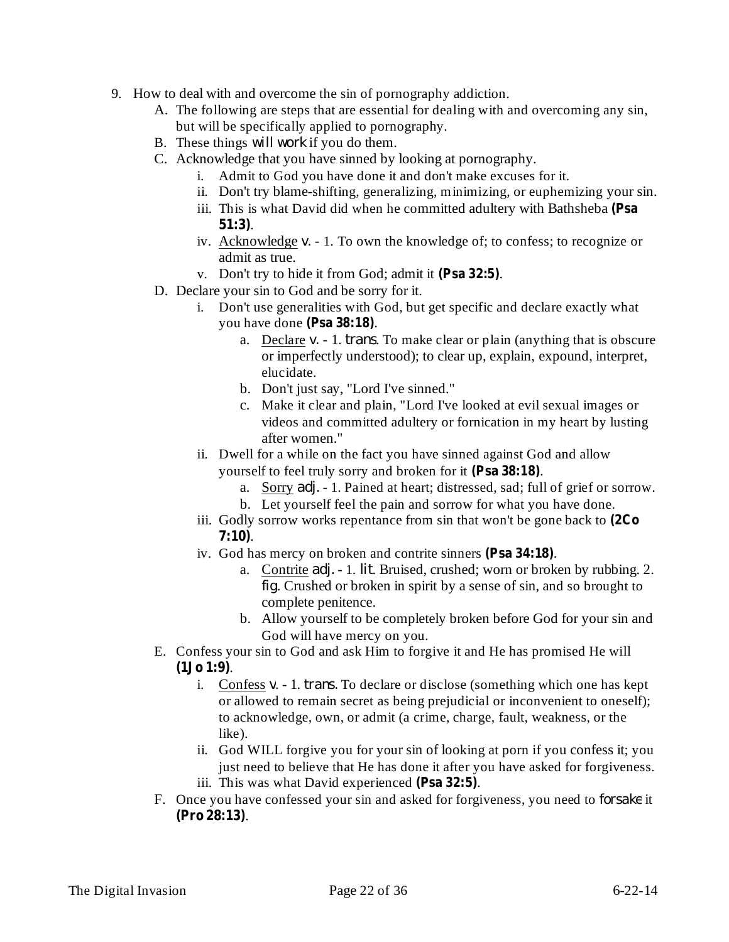- 9. How to deal with and overcome the sin of pornography addiction.
	- A. The following are steps that are essential for dealing with and overcoming any sin, but will be specifically applied to pornography.
	- B. These things *will work* if you do them.
	- C. Acknowledge that you have sinned by looking at pornography.
		- i. Admit to God you have done it and don't make excuses for it.
		- ii. Don't try blame-shifting, generalizing, minimizing, or euphemizing your sin.
		- iii. This is what David did when he committed adultery with Bathsheba **(Psa** . **51:3)**
		- iv. Acknowledge *v.* 1. To own the knowledge of; to confess; to recognize or admit as true.
		- v. Don't try to hide it from God; admit it (Psa 32:5).
	- D. Declare your sin to God and be sorry for it.
		- i. Don't use generalities with God, but get specific and declare exactly what you have done (Psa 38:18).
			- a. Declare *v.* 1. *trans*. To make clear or plain (anything that is obscure or imperfectly understood); to clear up, explain, expound, interpret, elucidate.
			- b. Don't just say, "Lord I've sinned."
			- c. Make it clear and plain, "Lord I've looked at evil sexual images or videos and committed adultery or fornication in my heart by lusting after women."
		- ii. Dwell for a while on the fact you have sinned against God and allow yourself to feel truly sorry and broken for it (Psa 38:18).
			- a. Sorry *adj.* 1. Pained at heart; distressed, sad; full of grief or sorrow.
			- b. Let yourself feel the pain and sorrow for what you have done.
		- iii. Godly sorrow works repentance from sin that won't be gone back to **(2Co** . **7:10)**
		- iv. God has mercy on broken and contrite sinners (Psa 34:18).
			- a. Contrite *adj.* 1. *lit*. Bruised, crushed; worn or broken by rubbing. 2. . Crushed or broken in spirit by a sense of sin, and so brought to *fig* complete penitence.
			- b. Allow yourself to be completely broken before God for your sin and God will have mercy on you.
	- E. Confess your sin to God and ask Him to forgive it and He has promised He will . **(1Jo 1:9)**
		- i. Confess *v*. 1. *trans*. To declare or disclose (something which one has kept or allowed to remain secret as being prejudicial or inconvenient to oneself); to acknowledge, own, or admit (a crime, charge, fault, weakness, or the like).
		- ii. God WILL forgive you for your sin of looking at porn if you confess it; you just need to believe that He has done it after you have asked for forgiveness.
		- iii. This was what David experienced (Psa 32:5).
	- F. Once you have confessed your sin and asked for forgiveness, you need to *forsake* it . **(Pro 28:13)**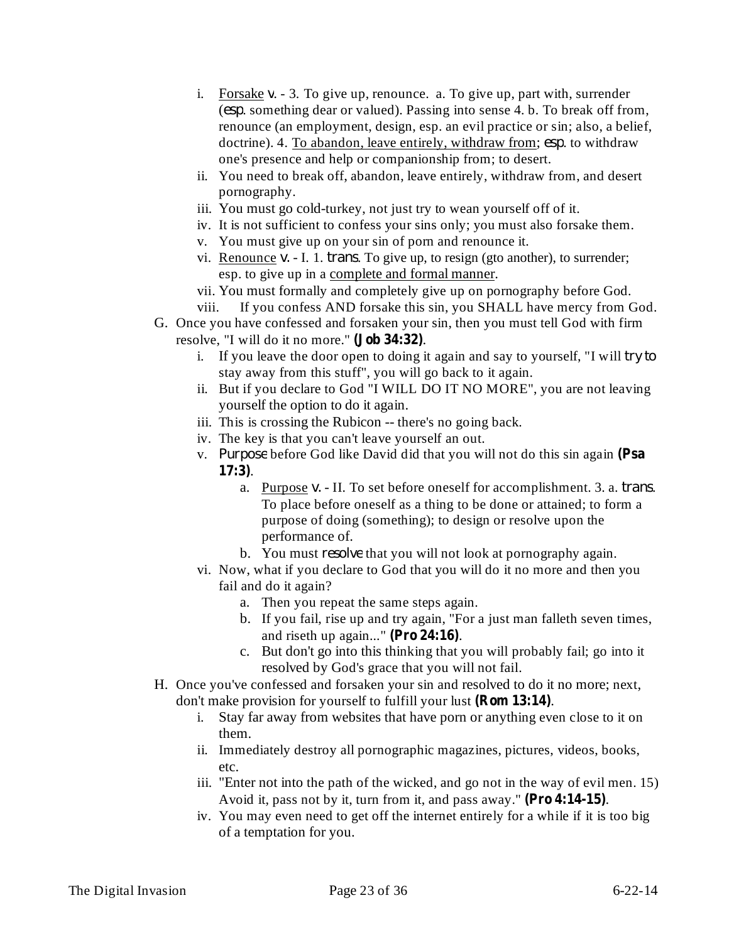- i. Forsake  $v 3$ . To give up, renounce. a. To give up, part with, surrender (esp. something dear or valued). Passing into sense 4. b. To break off from, renounce (an employment, design, esp. an evil practice or sin; also, a belief, doctrine). 4. To abandon, leave entirely, withdraw from; esp. to withdraw one's presence and help or companionship from; to desert.
- ii. You need to break off, abandon, leave entirely, withdraw from, and desert pornography.
- iii. You must go cold-turkey, not just try to wean yourself off of it.
- iv. It is not sufficient to confess your sins only; you must also forsake them.
- v. You must give up on your sin of porn and renounce it.
- vi. Renounce  $v.$  I. 1. *trans*. To give up, to resign (gto another), to surrender; esp. to give up in a complete and formal manner.
- vii. You must formally and completely give up on pornography before God. viii. If you confess AND forsake this sin, you SHALL have mercy from God.
- G. Once you have confessed and forsaken your sin, then you must tell God with firm resolve, "I will do it no more." (**Job 34:32**).
	- i. If you leave the door open to doing it again and say to yourself, "I will *try to* stay away from this stuff", you will go back to it again.
	- ii. But if you declare to God "I WILL DO IT NO MORE", you are not leaving yourself the option to do it again.
	- iii. This is crossing the Rubicon -- there's no going back.
	- iv. The key is that you can't leave yourself an out.
	- v. Purpose before God like David did that you will not do this sin again (Psa . **17:3)**
		- a. Purpose v. II. To set before oneself for accomplishment. 3. a. *trans*. To place before oneself as a thing to be done or attained; to form a purpose of doing (something); to design or resolve upon the performance of.
		- b. You must *resolve* that you will not look at pornography again.
	- vi. Now, what if you declare to God that you will do it no more and then you fail and do it again?
		- a. Then you repeat the same steps again.
		- b. If you fail, rise up and try again, "For a just man falleth seven times, and riseth up again..." (Pro  $24:16$ ).
		- c. But don't go into this thinking that you will probably fail; go into it resolved by God's grace that you will not fail.
- H. Once you've confessed and forsaken your sin and resolved to do it no more; next, don't make provision for yourself to fulfill your lust (**Rom 13:14**).
	- i. Stay far away from websites that have porn or anything even close to it on them.
	- ii. Immediately destroy all pornographic magazines, pictures, videos, books, etc.
	- iii. "Enter not into the path of the wicked, and go not in the way of evil men. 15) Avoid it, pass not by it, turn from it, and pass away." (Pro 4:14-15).
	- iv. You may even need to get off the internet entirely for a while if it is too big of a temptation for you.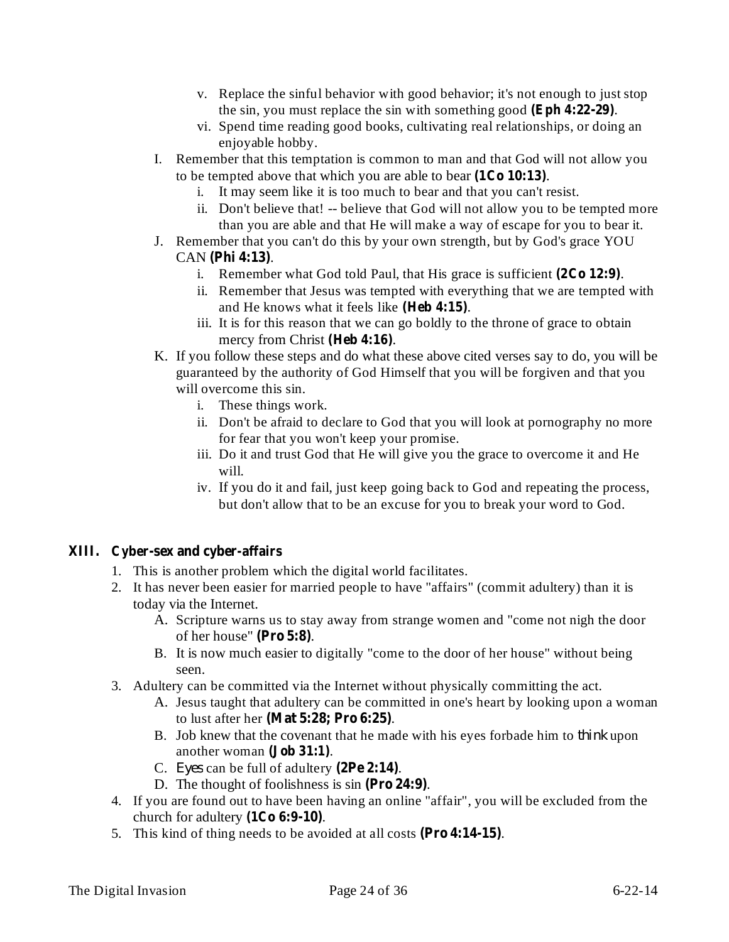- v. Replace the sinful behavior with good behavior; it's not enough to just stop the sin, you must replace the sin with something good . **(Eph 4:22-29)**
- vi. Spend time reading good books, cultivating real relationships, or doing an enjoyable hobby.
- I. Remember that this temptation is common to man and that God will not allow you to be tempted above that which you are able to bear  $(1Co 10:13)$ .
	- i. It may seem like it is too much to bear and that you can't resist.
	- ii. Don't believe that! -- believe that God will not allow you to be tempted more than you are able and that He will make a way of escape for you to bear it.
- J. Remember that you can't do this by your own strength, but by God's grace YOU CAN (Phi 4:13).
	- i. Remember what God told Paul, that His grace is sufficient  $(2Co 12:9)$ .
	- ii. Remember that Jesus was tempted with everything that we are tempted with and He knows what it feels like (Heb 4:15).
	- iii. It is for this reason that we can go boldly to the throne of grace to obtain mercy from Christ (Heb 4:16).
- K. If you follow these steps and do what these above cited verses say to do, you will be guaranteed by the authority of God Himself that you will be forgiven and that you will overcome this sin.
	- i. These things work.
	- ii. Don't be afraid to declare to God that you will look at pornography no more for fear that you won't keep your promise.
	- iii. Do it and trust God that He will give you the grace to overcome it and He will.
	- iv. If you do it and fail, just keep going back to God and repeating the process, but don't allow that to be an excuse for you to break your word to God.

# **XIII. Cyber-sex and cyber-affairs**

- 1. This is another problem which the digital world facilitates.
- 2. It has never been easier for married people to have "affairs" (commit adultery) than it is today via the Internet.
	- A. Scripture warns us to stay away from strange women and "come not nigh the door of her house" (Pro 5:8).
	- B. It is now much easier to digitally "come to the door of her house" without being seen.
- 3. Adultery can be committed via the Internet without physically committing the act.
	- A. Jesus taught that adultery can be committed in one's heart by looking upon a woman to lust after her . **(Mat 5:28; Pro 6:25)**
	- B. Job knew that the covenant that he made with his eyes forbade him to *think* upon another woman (**Job** 31:1).
	- C. Eyes can be full of adultery  $(2Pe 2:14)$ .
	- D. The thought of foolishness is sin (Pro 24:9).
- 4. If you are found out to have been having an online "affair", you will be excluded from the church for adultery  $(1Co 6:9-10)$ .
- 5. This kind of thing needs to be avoided at all costs (Pro 4:14-15).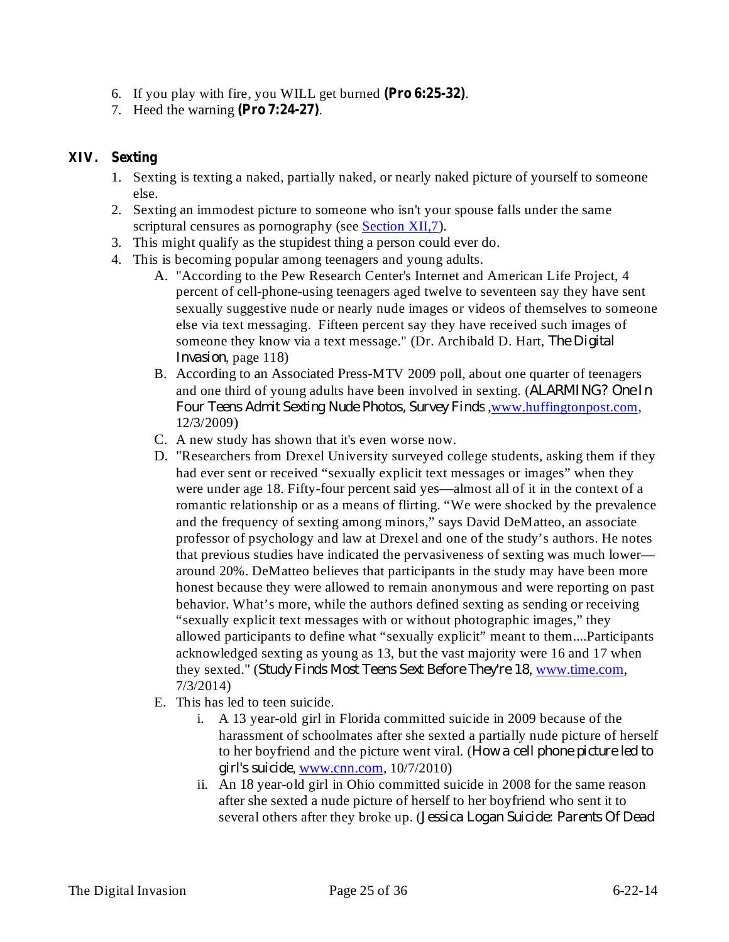- 6. If you play with fire, you WILL get burned (Pro 6:25-32).
- 7. Heed the warning (Pro 7:24-27).

# **XIV. Sexting**

- 1. Sexting is texting a naked, partially naked, or nearly naked picture of yourself to someone else.
- 2. Sexting an immodest picture to someone who isn't your spouse falls under the same scriptural censures as pornography (see Section XII, 7).
- 3. This might qualify as the stupidest thing a person could ever do.
- 4. This is becoming popular among teenagers and young adults.
	- A. "According to the Pew Research Center's Internet and American Life Project, 4 percent of cell-phone-using teenagers aged twelve to seventeen say they have sent sexually suggestive nude or nearly nude images or videos of themselves to someone else via text messaging. Fifteen percent say they have received such images of someone they know via a text message." (Dr. Archibald D. Hart, *The Digital* Invasion, page 118)
	- B. According to an Associated Press-MTV 2009 poll, about one quarter of teenagers and one third of young adults have been involved in sexting. ( *ALARMING? One In Four Teens Admit Sexting Nude Photos, Survey Finds*, www.huffingtonpost.com, 12/3/2009)
	- C. A new study has shown that it's even worse now.
	- D. "Researchers from Drexel University surveyed college students, asking them if they had ever sent or received "sexually explicit text messages or images" when they were under age 18. Fifty-four percent said yes—almost all of it in the context of a romantic relationship or as a means of flirting. "We were shocked by the prevalence and the frequency of sexting among minors," says David DeMatteo, an associate professor of psychology and law at Drexel and one of the study's authors. He notes that previous studies have indicated the pervasiveness of sexting was much lower around 20%. DeMatteo believes that participants in the study may have been more honest because they were allowed to remain anonymous and were reporting on past behavior. What's more, while the authors defined sexting as sending or receiving "sexually explicit text messages with or without photographic images," they allowed participants to define what "sexually explicit" meant to them....Participants acknowledged sexting as young as 13, but the vast majority were 16 and 17 when *f*they sexted." (*Study Finds Most Teens Sext Before They're 18*, www.time.com, 7/3/2014)
	- E. This has led to teen suicide.
		- i. A 13 year-old girl in Florida committed suicide in 2009 because of the harassment of schoolmates after she sexted a partially nude picture of herself to her boyfriend and the picture went viral. ( *How a cell phone picture led to* , www.cnn.com, 10/7/2010) *girl's suicide*
		- ii. An 18 year-old girl in Ohio committed suicide in 2008 for the same reason after she sexted a nude picture of herself to her boyfriend who sent it to several others after they broke up. ( *Jessica Logan Suicide: Parents Of Dead*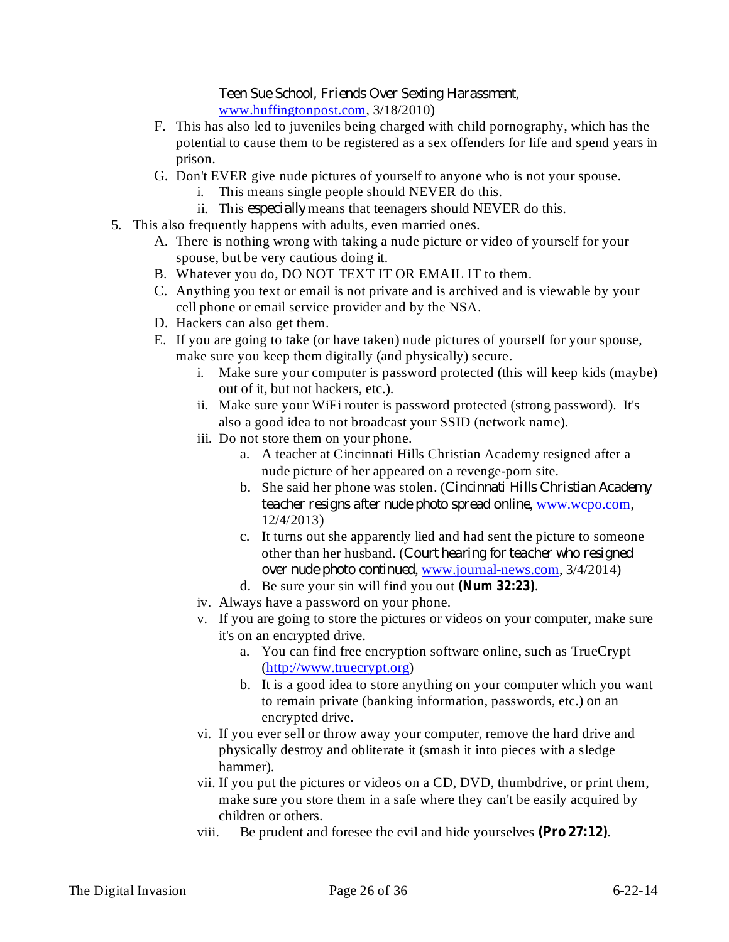, *Teen Sue School, Friends Over Sexting Harassment* www.huffingtonpost.com, 3/18/2010)

- F. This has also led to juveniles being charged with child pornography, which has the potential to cause them to be registered as a sex offenders for life and spend years in prison.
- G. Don't EVER give nude pictures of yourself to anyone who is not your spouse.
	- i. This means single people should NEVER do this.
	- ii. This *especially* means that teenagers should NEVER do this.
- 5. This also frequently happens with adults, even married ones.
	- A. There is nothing wrong with taking a nude picture or video of yourself for your spouse, but be very cautious doing it.
	- B. Whatever you do, DO NOT TEXT IT OR EMAIL IT to them.
	- C. Anything you text or email is not private and is archived and is viewable by your cell phone or email service provider and by the NSA.
	- D. Hackers can also get them.
	- E. If you are going to take (or have taken) nude pictures of yourself for your spouse, make sure you keep them digitally (and physically) secure.
		- i. Make sure your computer is password protected (this will keep kids (maybe) out of it, but not hackers, etc.).
		- ii. Make sure your WiFi router is password protected (strong password). It's also a good idea to not broadcast your SSID (network name).
		- iii. Do not store them on your phone.
			- a. A teacher at Cincinnati Hills Christian Academy resigned after a nude picture of her appeared on a revenge-porn site.
			- b. She said her phone was stolen. ( *Cincinnati Hills Christian Academy teacher resigns after nude photo spread online, www.wcpo.com,* 12/4/2013)
			- c. It turns out she apparently lied and had sent the picture to someone other than her husband. ( *Court hearing for teacher who resigned over nude photo continued*, **<u>www.journal-news.com</u>**, 3/4/2014)
			- d. Be sure your sin will find you out (Num 32:23).
		- iv. Always have a password on your phone.
		- v. If you are going to store the pictures or videos on your computer, make sure it's on an encrypted drive.
			- a. You can find free encryption software online, such as TrueCrypt (http://www.truecrypt.org)
			- b. It is a good idea to store anything on your computer which you want to remain private (banking information, passwords, etc.) on an encrypted drive.
		- vi. If you ever sell or throw away your computer, remove the hard drive and physically destroy and obliterate it (smash it into pieces with a sledge hammer).
		- vii. If you put the pictures or videos on a CD, DVD, thumbdrive, or print them, make sure you store them in a safe where they can't be easily acquired by children or others.
		- viii. Be prudent and foresee the evil and hide yourselves  $(Pro 27:12)$ .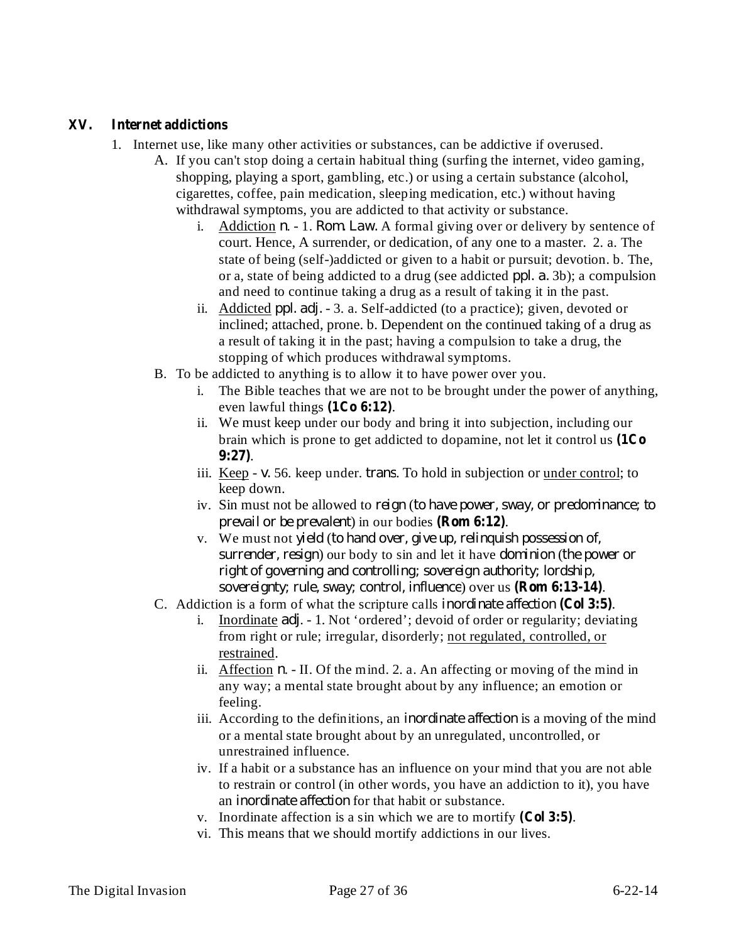# **XV. Internet addictions**

- 1. Internet use, like many other activities or substances, can be addictive if overused.
	- A. If you can't stop doing a certain habitual thing (surfing the internet, video gaming, shopping, playing a sport, gambling, etc.) or using a certain substance (alcohol, cigarettes, coffee, pain medication, sleeping medication, etc.) without having withdrawal symptoms, you are addicted to that activity or substance.
		- i. Addiction *n*. 1. *Rom. Law.* A formal giving over or delivery by sentence of court. Hence, A surrender, or dedication, of any one to a master. 2. a. The state of being (self-)addicted or given to a habit or pursuit; devotion. b. The, or a, state of being addicted to a drug (see addicted *ppl. a.* 3b); a compulsion and need to continue taking a drug as a result of taking it in the past.
		- ii. Addicted *ppl. adj.* 3. a. Self-addicted (to a practice); given, devoted or inclined; attached, prone. b. Dependent on the continued taking of a drug as a result of taking it in the past; having a compulsion to take a drug, the stopping of which produces withdrawal symptoms.
	- B. To be addicted to anything is to allow it to have power over you.
		- i. The Bible teaches that we are not to be brought under the power of anything, even lawful things  $(1Co 6:12)$ .
		- ii. We must keep under our body and bring it into subjection, including our brain which is prone to get addicted to dopamine, not let it control us **(1Co** . **9:27)**
		- iii. Keep v. 56. keep under. *trans*. To hold in subjection or under control; to keep down.
		- iv. Sin must not be allowed to ( *reign to have power, sway, or predominance; to prevail or be prevalent*) in our bodies (**Rom 6:12**).
		- v. We must not ( *yield to hand over, give up, relinquish possession of, surrender, resign*) our body to sin and let it have *dominion* (the power or *sovereignty; rule, sway; control, influence)* over us (**Rom 6:13-14**). *right of governing and controlling; sovereign authority; lordship,*
	- C. Addiction is a form of what the scripture calls *inordinate affection* (Col 3:5).
		- i. Inordinate *adj*. 1. Not 'ordered'; devoid of order or regularity; deviating from right or rule; irregular, disorderly; not regulated, controlled, or restrained.
		- ii. Affection  $n.$  II. Of the mind. 2. a. An affecting or moving of the mind in any way; a mental state brought about by any influence; an emotion or feeling.
		- iii. According to the definitions, an *inordinate affection* is a moving of the mind or a mental state brought about by an unregulated, uncontrolled, or unrestrained influence.
		- iv. If a habit or a substance has an influence on your mind that you are not able to restrain or control (in other words, you have an addiction to it), you have an *inordinate affection* for that habit or substance.
		- v. Inordinate affection is a sin which we are to mortify  $(Col 3:5)$ .
		- vi. This means that we should mortify addictions in our lives.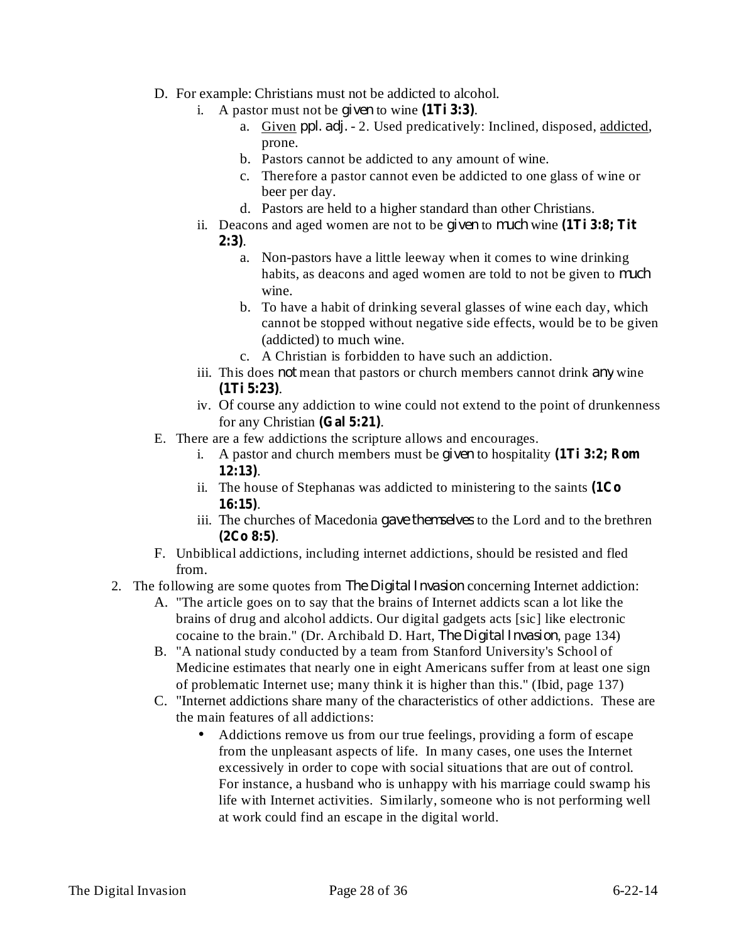- D. For example: Christians must not be addicted to alcohol.
	- i. A pastor must not be *given* to wine  $(1Ti 3:3)$ .
		- a. Given *ppl. adj.* 2. Used predicatively: Inclined, disposed, addicted, prone.
		- b. Pastors cannot be addicted to any amount of wine.
		- c. Therefore a pastor cannot even be addicted to one glass of wine or beer per day.
		- d. Pastors are held to a higher standard than other Christians.
	- ii. Deacons and aged women are not to be *given* to *much* wine (1Ti 3:8; Tit . **2:3)**
		- a. Non-pastors have a little leeway when it comes to wine drinking habits, as deacons and aged women are told to not be given to *much* wine.
		- b. To have a habit of drinking several glasses of wine each day, which cannot be stopped without negative side effects, would be to be given (addicted) to much wine.
		- c. A Christian is forbidden to have such an addiction.
	- iii. This does *not* mean that pastors or church members cannot drink *any* wine . **(1Ti 5:23)**
	- iv. Of course any addiction to wine could not extend to the point of drunkenness for any Christian (Gal 5:21).
- E. There are a few addictions the scripture allows and encourages.
	- i. A pastor and church members must be *given* to hospitality (1Ti 3:2; Rom . **12:13)**
	- ii. The house of Stephanas was addicted to ministering to the saints **(1Co** . **16:15)**
	- iii. The churches of Macedonia *gave themselves* to the Lord and to the brethren . **(2Co 8:5)**
- F. Unbiblical addictions, including internet addictions, should be resisted and fled from.
- 2. The following are some quotes from *The Digital Invasion* concerning Internet addiction:
	- A. "The article goes on to say that the brains of Internet addicts scan a lot like the brains of drug and alcohol addicts. Our digital gadgets acts [sic] like electronic cocaine to the brain." (Dr. Archibald D. Hart, *The Digital Invasion*, page 134)
	- B. "A national study conducted by a team from Stanford University's School of Medicine estimates that nearly one in eight Americans suffer from at least one sign of problematic Internet use; many think it is higher than this." (Ibid, page 137)
	- C. "Internet addictions share many of the characteristics of other addictions. These are the main features of all addictions:
		- Addictions remove us from our true feelings, providing a form of escape from the unpleasant aspects of life. In many cases, one uses the Internet excessively in order to cope with social situations that are out of control. For instance, a husband who is unhappy with his marriage could swamp his life with Internet activities. Similarly, someone who is not performing well at work could find an escape in the digital world.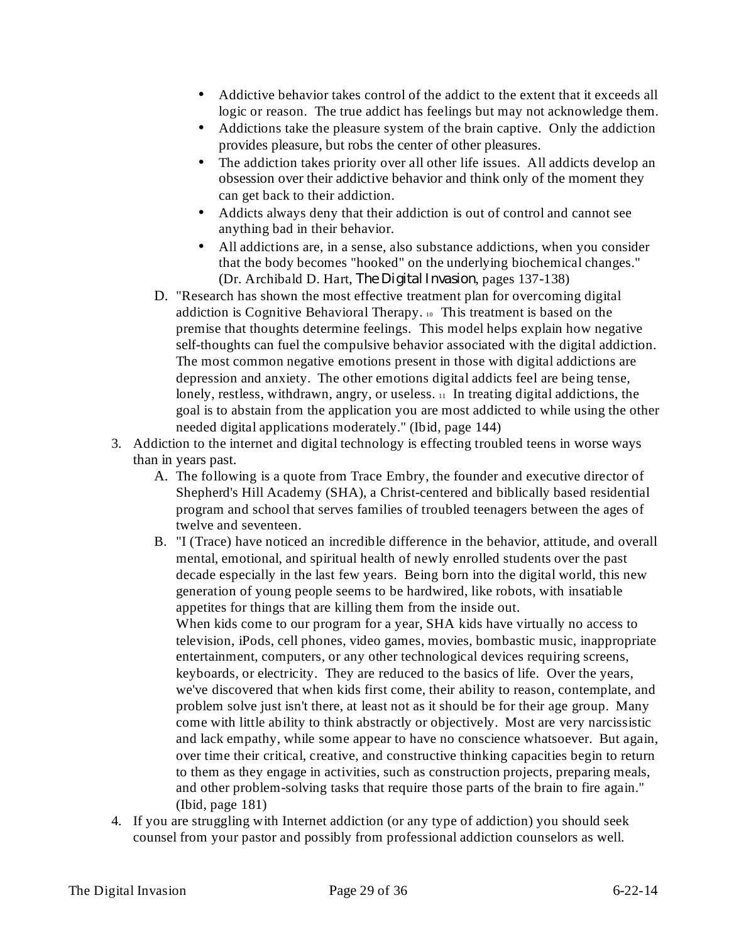- Addictive behavior takes control of the addict to the extent that it exceeds all logic or reason. The true addict has feelings but may not acknowledge them.
- Addictions take the pleasure system of the brain captive. Only the addiction provides pleasure, but robs the center of other pleasures.
- The addiction takes priority over all other life issues. All addicts develop an obsession over their addictive behavior and think only of the moment they can get back to their addiction. •
- Addicts always deny that their addiction is out of control and cannot see anything bad in their behavior.
- All addictions are, in a sense, also substance addictions, when you consider that the body becomes "hooked" on the underlying biochemical changes." (Dr. Archibald D. Hart, *The Digital Invasion*, pages 137-138)
- D. "Research has shown the most effective treatment plan for overcoming digital addiction is Cognitive Behavioral Therapy. <sup>10</sup> This treatment is based on the premise that thoughts determine feelings. This model helps explain how negative self-thoughts can fuel the compulsive behavior associated with the digital addiction. The most common negative emotions present in those with digital addictions are depression and anxiety. The other emotions digital addicts feel are being tense, lonely, restless, withdrawn, angry, or useless.  $\mu$  In treating digital addictions, the goal is to abstain from the application you are most addicted to while using the other needed digital applications moderately." (Ibid, page 144)
- 3. Addiction to the internet and digital technology is effecting troubled teens in worse ways than in years past.
	- A. The following is a quote from Trace Embry, the founder and executive director of Shepherd's Hill Academy (SHA), a Christ-centered and biblically based residential program and school that serves families of troubled teenagers between the ages of twelve and seventeen.
	- B. "I (Trace) have noticed an incredible difference in the behavior, attitude, and overall mental, emotional, and spiritual health of newly enrolled students over the past decade especially in the last few years. Being born into the digital world, this new generation of young people seems to be hardwired, like robots, with insatiable appetites for things that are killing them from the inside out. When kids come to our program for a year, SHA kids have virtually no access to television, iPods, cell phones, video games, movies, bombastic music, inappropriate entertainment, computers, or any other technological devices requiring screens, keyboards, or electricity. They are reduced to the basics of life. Over the years, we've discovered that when kids first come, their ability to reason, contemplate, and problem solve just isn't there, at least not as it should be for their age group. Many come with little ability to think abstractly or objectively. Most are very narcissistic
		- and lack empathy, while some appear to have no conscience whatsoever. But again, over time their critical, creative, and constructive thinking capacities begin to return to them as they engage in activities, such as construction projects, preparing meals, and other problem-solving tasks that require those parts of the brain to fire again." (Ibid, page 181)
- 4. If you are struggling with Internet addiction (or any type of addiction) you should seek counsel from your pastor and possibly from professional addiction counselors as well.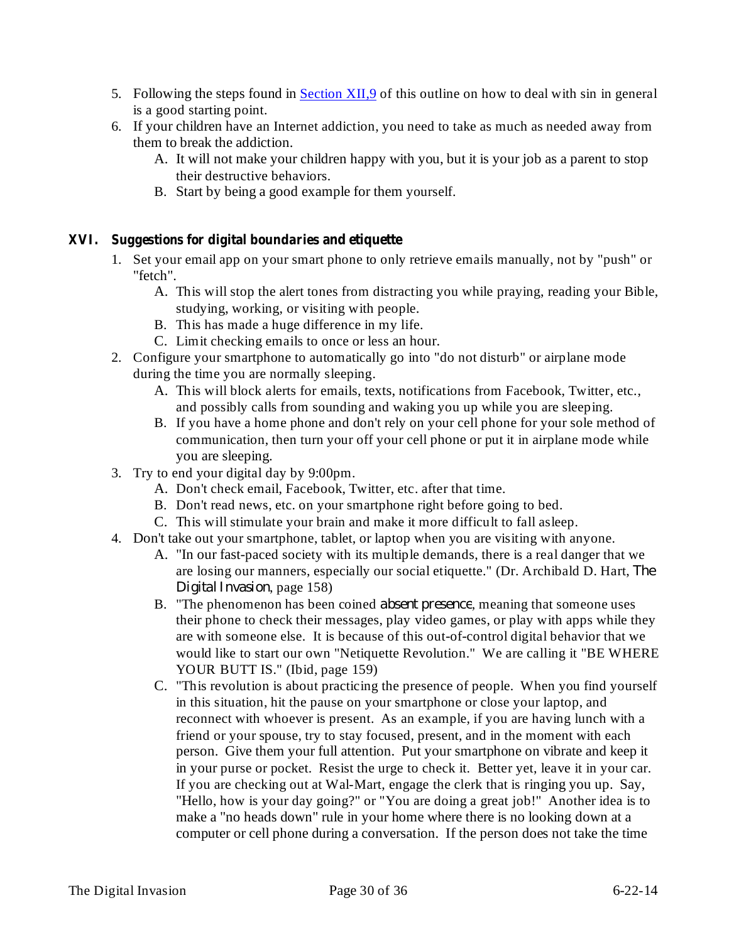- 5. Following the steps found in Section XII, 9 of this outline on how to deal with sin in general is a good starting point.
- 6. If your children have an Internet addiction, you need to take as much as needed away from them to break the addiction.
	- A. It will not make your children happy with you, but it is your job as a parent to stop their destructive behaviors.
	- B. Start by being a good example for them yourself.

# **XVI. Suggestions for digital boundaries and etiquette**

- 1. Set your email app on your smart phone to only retrieve emails manually, not by "push" or "fetch".
	- A. This will stop the alert tones from distracting you while praying, reading your Bible, studying, working, or visiting with people.
	- B. This has made a huge difference in my life.
	- C. Limit checking emails to once or less an hour.
- 2. Configure your smartphone to automatically go into "do not disturb" or airplane mode during the time you are normally sleeping.
	- A. This will block alerts for emails, texts, notifications from Facebook, Twitter, etc., and possibly calls from sounding and waking you up while you are sleeping.
	- B. If you have a home phone and don't rely on your cell phone for your sole method of communication, then turn your off your cell phone or put it in airplane mode while you are sleeping.
- 3. Try to end your digital day by 9:00pm.
	- A. Don't check email, Facebook, Twitter, etc. after that time.
	- B. Don't read news, etc. on your smartphone right before going to bed.
	- C. This will stimulate your brain and make it more difficult to fall asleep.
- 4. Don't take out your smartphone, tablet, or laptop when you are visiting with anyone.
	- A. "In our fast-paced society with its multiple demands, there is a real danger that we are losing our manners, especially our social etiquette." (Dr. Archibald D. Hart, *The* , page 158) *Digital Invasion*
	- B. "The phenomenon has been coined *absent presence*, meaning that someone uses their phone to check their messages, play video games, or play with apps while they are with someone else. It is because of this out-of-control digital behavior that we would like to start our own "Netiquette Revolution." We are calling it "BE WHERE YOUR BUTT IS." (Ibid, page 159)
	- C. "This revolution is about practicing the presence of people. When you find yourself in this situation, hit the pause on your smartphone or close your laptop, and reconnect with whoever is present. As an example, if you are having lunch with a friend or your spouse, try to stay focused, present, and in the moment with each person. Give them your full attention. Put your smartphone on vibrate and keep it in your purse or pocket. Resist the urge to check it. Better yet, leave it in your car. If you are checking out at Wal-Mart, engage the clerk that is ringing you up. Say, "Hello, how is your day going?" or "You are doing a great job!" Another idea is to make a "no heads down" rule in your home where there is no looking down at a computer or cell phone during a conversation. If the person does not take the time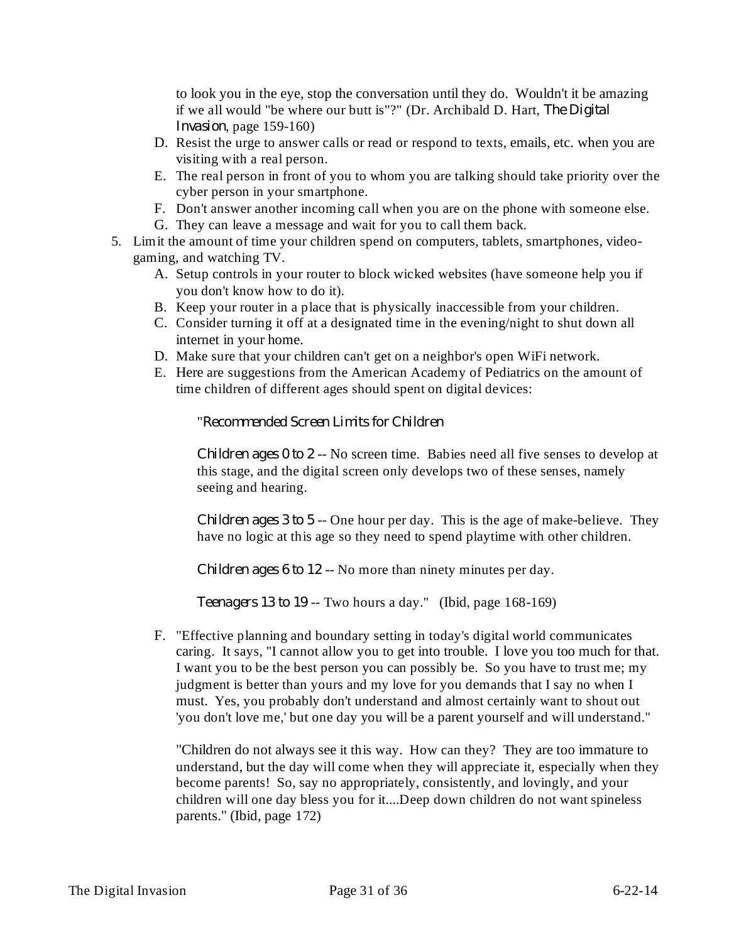to look you in the eye, stop the conversation until they do. Wouldn't it be amazing if we all would "be where our butt is"?" (Dr. Archibald D. Hart, *The Digital Invasion*, page 159-160)

- D. Resist the urge to answer calls or read or respond to texts, emails, etc. when you are visiting with a real person.
- E. The real person in front of you to whom you are talking should take priority over the cyber person in your smartphone.
- F. Don't answer another incoming call when you are on the phone with someone else.
- G. They can leave a message and wait for you to call them back.
- 5. Limit the amount of time your children spend on computers, tablets, smartphones, videogaming, and watching TV.
	- A. Setup controls in your router to block wicked websites (have someone help you if you don't know how to do it).
	- B. Keep your router in a place that is physically inaccessible from your children.
	- C. Consider turning it off at a designated time in the evening/night to shut down all internet in your home.
	- D. Make sure that your children can't get on a neighbor's open WiFi network.
	- E. Here are suggestions from the American Academy of Pediatrics on the amount of time children of different ages should spent on digital devices:

" *Recommended Screen Limits for Children*

*Children ages*  $0$  *to*  $2$  -- No screen time. Babies need all five senses to develop at this stage, and the digital screen only develops two of these senses, namely seeing and hearing.

*Children ages*  $3$  *to*  $5$  -- One hour per day. This is the age of make-believe. They have no logic at this age so they need to spend playtime with other children.

*Children ages* 6 *to* 12 -- No more than ninety minutes per day.

*Teenagers* 13 *to* 19 -- Two hours a day." (Ibid, page 168-169)

F. "Effective planning and boundary setting in today's digital world communicates caring. It says, "I cannot allow you to get into trouble. I love you too much for that. I want you to be the best person you can possibly be. So you have to trust me; my judgment is better than yours and my love for you demands that I say no when I must. Yes, you probably don't understand and almost certainly want to shout out 'you don't love me,' but one day you will be a parent yourself and will understand."

"Children do not always see it this way. How can they? They are too immature to understand, but the day will come when they will appreciate it, especially when they become parents! So, say no appropriately, consistently, and lovingly, and your children will one day bless you for it....Deep down children do not want spineless parents." (Ibid, page 172)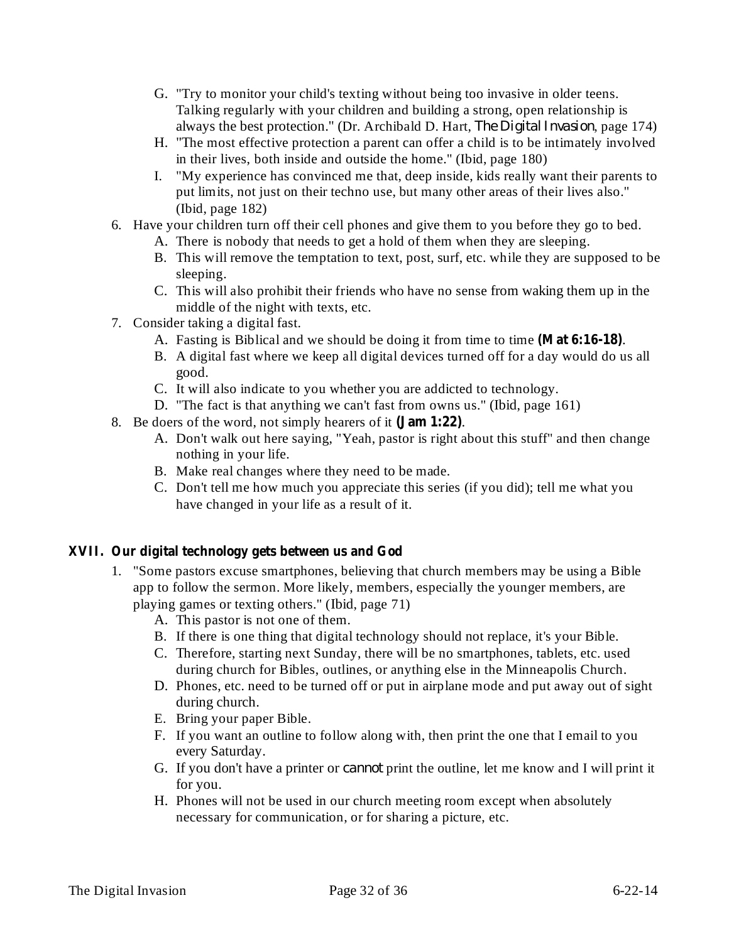- G. "Try to monitor your child's texting without being too invasive in older teens. Talking regularly with your children and building a strong, open relationship is always the best protection." (Dr. Archibald D. Hart, *The Digital Invasion*, page 174)
- H. "The most effective protection a parent can offer a child is to be intimately involved in their lives, both inside and outside the home." (Ibid, page 180)
- I. "My experience has convinced me that, deep inside, kids really want their parents to put limits, not just on their techno use, but many other areas of their lives also." (Ibid, page 182)
- 6. Have your children turn off their cell phones and give them to you before they go to bed.
	- A. There is nobody that needs to get a hold of them when they are sleeping.
	- B. This will remove the temptation to text, post, surf, etc. while they are supposed to be sleeping.
	- C. This will also prohibit their friends who have no sense from waking them up in the middle of the night with texts, etc.
- 7. Consider taking a digital fast.
	- A. Fasting is Biblical and we should be doing it from time to time (Mat 6:16-18).
	- B. A digital fast where we keep all digital devices turned off for a day would do us all good.
	- C. It will also indicate to you whether you are addicted to technology.
	- D. "The fact is that anything we can't fast from owns us." (Ibid, page 161)
- 8. Be doers of the word, not simply hearers of it (**Jam 1:22**).
	- A. Don't walk out here saying, "Yeah, pastor is right about this stuff" and then change nothing in your life.
	- B. Make real changes where they need to be made.
	- C. Don't tell me how much you appreciate this series (if you did); tell me what you have changed in your life as a result of it.

# **XVII. Our digital technology gets between us and God**

- 1. "Some pastors excuse smartphones, believing that church members may be using a Bible app to follow the sermon. More likely, members, especially the younger members, are playing games or texting others." (Ibid, page 71)
	- A. This pastor is not one of them.
	- B. If there is one thing that digital technology should not replace, it's your Bible.
	- C. Therefore, starting next Sunday, there will be no smartphones, tablets, etc. used during church for Bibles, outlines, or anything else in the Minneapolis Church.
	- D. Phones, etc. need to be turned off or put in airplane mode and put away out of sight during church.
	- E. Bring your paper Bible.
	- F. If you want an outline to follow along with, then print the one that I email to you every Saturday.
	- G. If you don't have a printer or *cannot* print the outline, let me know and I will print it for you.
	- H. Phones will not be used in our church meeting room except when absolutely necessary for communication, or for sharing a picture, etc.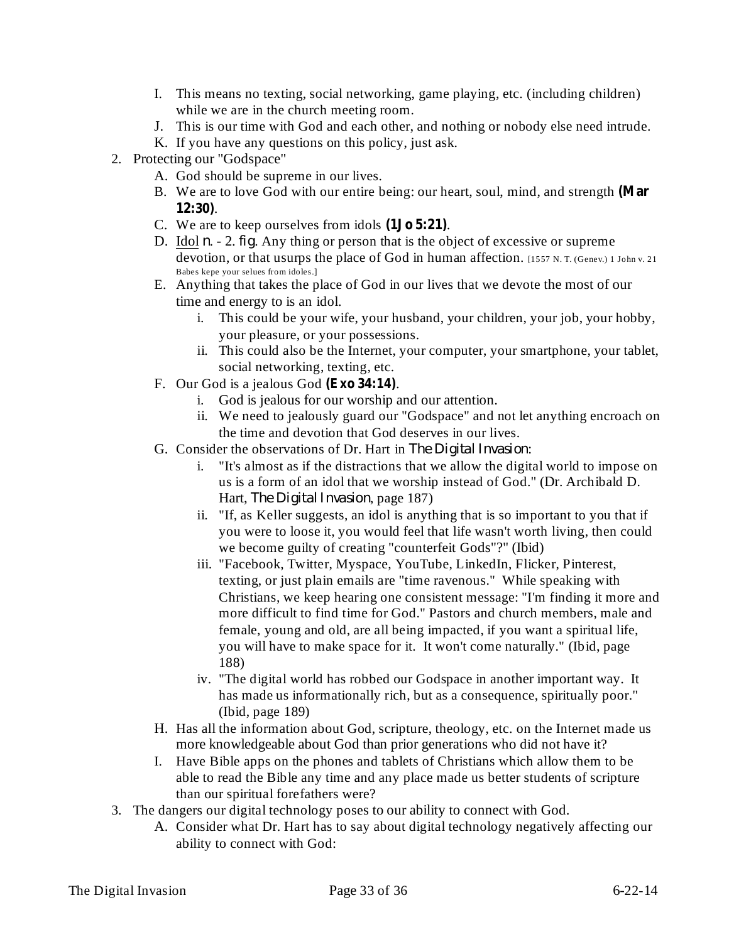- I. This means no texting, social networking, game playing, etc. (including children) while we are in the church meeting room.
- J. This is our time with God and each other, and nothing or nobody else need intrude.
- K. If you have any questions on this policy, just ask.
- 2. Protecting our "Godspace"
	- A. God should be supreme in our lives.
	- B. We are to love God with our entire being: our heart, soul, mind, and strength **(Mar** . **12:30)**
	- C. We are to keep ourselves from idols  $(1J\sigma 5:21)$ .
	- D. Idol  $n 2$ , *fig*. Any thing or person that is the object of excessive or supreme devotion, or that usurps the place of God in human affection. [1557 N.T. (Genev.) 1 John v. 21 Babes kepe your selues from idoles.]
	- E. Anything that takes the place of God in our lives that we devote the most of our time and energy to is an idol.
		- i. This could be your wife, your husband, your children, your job, your hobby, your pleasure, or your possessions.
		- ii. This could also be the Internet, your computer, your smartphone, your tablet, social networking, texting, etc.
	- F. Our God is a jealous God (Exo 34:14).
		- i. God is jealous for our worship and our attention.
		- ii. We need to jealously guard our "Godspace" and not let anything encroach on the time and devotion that God deserves in our lives.
	- G. Consider the observations of Dr. Hart in The Digital Invasion:
		- i. "It's almost as if the distractions that we allow the digital world to impose on us is a form of an idol that we worship instead of God." (Dr. Archibald D. Hart, *The Digital Invasion*, page 187)
		- ii. "If, as Keller suggests, an idol is anything that is so important to you that if you were to loose it, you would feel that life wasn't worth living, then could we become guilty of creating "counterfeit Gods"?" (Ibid)
		- iii. "Facebook, Twitter, Myspace, YouTube, LinkedIn, Flicker, Pinterest, texting, or just plain emails are "time ravenous." While speaking with Christians, we keep hearing one consistent message: "I'm finding it more and more difficult to find time for God." Pastors and church members, male and female, young and old, are all being impacted, if you want a spiritual life, you will have to make space for it. It won't come naturally." (Ibid, page 188)
		- iv. "The digital world has robbed our Godspace in another important way. It has made us informationally rich, but as a consequence, spiritually poor." (Ibid, page 189)
	- H. Has all the information about God, scripture, theology, etc. on the Internet made us more knowledgeable about God than prior generations who did not have it?
	- I. Have Bible apps on the phones and tablets of Christians which allow them to be able to read the Bible any time and any place made us better students of scripture than our spiritual forefathers were?
- 3. The dangers our digital technology poses to our ability to connect with God.
	- A. Consider what Dr. Hart has to say about digital technology negatively affecting our ability to connect with God: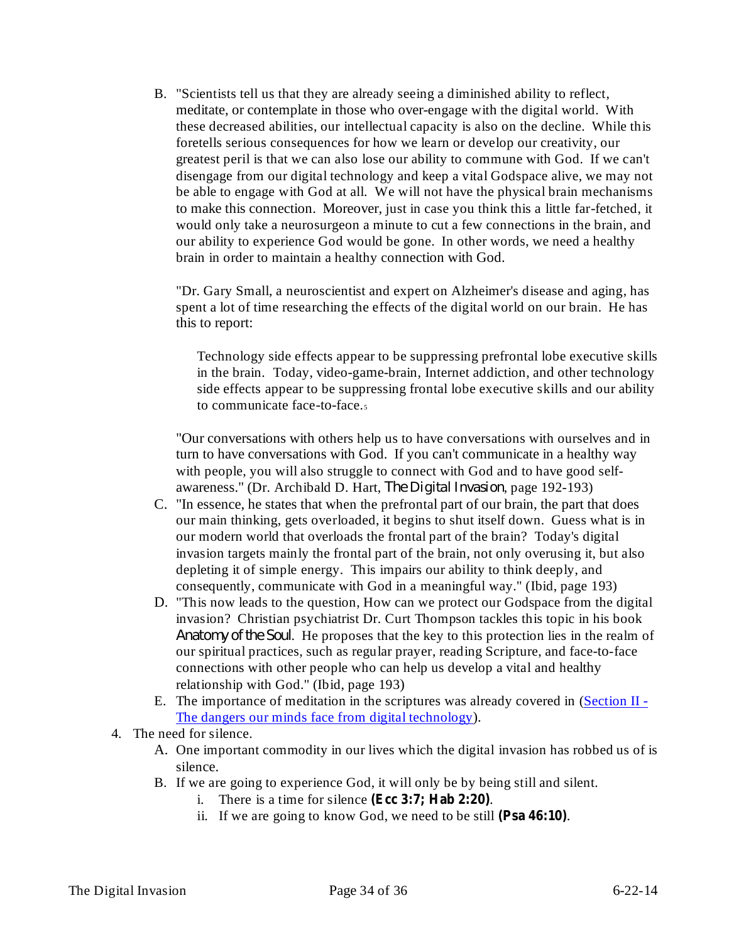B. "Scientists tell us that they are already seeing a diminished ability to reflect, meditate, or contemplate in those who over-engage with the digital world. With these decreased abilities, our intellectual capacity is also on the decline. While this foretells serious consequences for how we learn or develop our creativity, our greatest peril is that we can also lose our ability to commune with God. If we can't disengage from our digital technology and keep a vital Godspace alive, we may not be able to engage with God at all. We will not have the physical brain mechanisms to make this connection. Moreover, just in case you think this a little far-fetched, it would only take a neurosurgeon a minute to cut a few connections in the brain, and our ability to experience God would be gone. In other words, we need a healthy brain in order to maintain a healthy connection with God.

"Dr. Gary Small, a neuroscientist and expert on Alzheimer's disease and aging, has spent a lot of time researching the effects of the digital world on our brain. He has this to report:

Technology side effects appear to be suppressing prefrontal lobe executive skills in the brain. Today, video-game-brain, Internet addiction, and other technology side effects appear to be suppressing frontal lobe executive skills and our ability to communicate face-to-face.<sub>5</sub>

"Our conversations with others help us to have conversations with ourselves and in turn to have conversations with God. If you can't communicate in a healthy way with people, you will also struggle to connect with God and to have good selfawareness." (Dr. Archibald D. Hart, *The Digital Invasion*, page 192-193)

- C. "In essence, he states that when the prefrontal part of our brain, the part that does our main thinking, gets overloaded, it begins to shut itself down. Guess what is in our modern world that overloads the frontal part of the brain? Today's digital invasion targets mainly the frontal part of the brain, not only overusing it, but also depleting it of simple energy. This impairs our ability to think deeply, and consequently, communicate with God in a meaningful way." (Ibid, page 193)
- D. "This now leads to the question, How can we protect our Godspace from the digital invasion? Christian psychiatrist Dr. Curt Thompson tackles this topic in his book Anatomy of the Soul. He proposes that the key to this protection lies in the realm of our spiritual practices, such as regular prayer, reading Scripture, and face-to-face connections with other people who can help us develop a vital and healthy relationship with God." (Ibid, page 193)
- E. The importance of meditation in the scriptures was already covered in (Section II The dangers our minds face from digital technology).
- 4. The need for silence.
	- A. One important commodity in our lives which the digital invasion has robbed us of is silence.
	- B. If we are going to experience God, it will only be by being still and silent.
		- i. There is a time for silence  $(Ecc 3:7; Hab 2:20)$ .
		- ii. If we are going to know God, we need to be still  $(Psa 46:10)$ .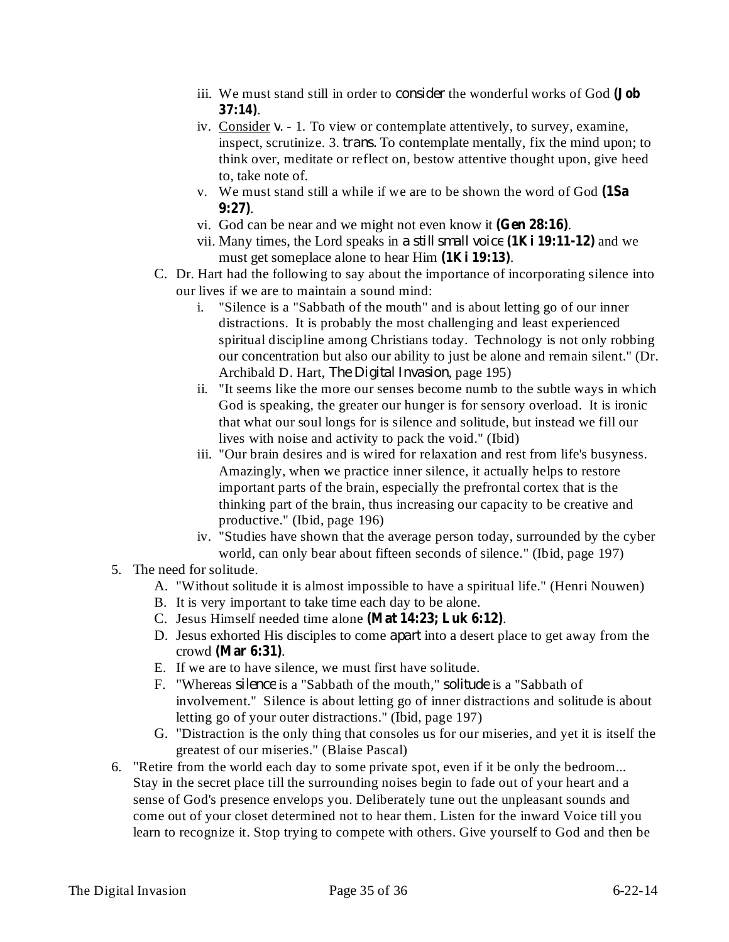- iii. We must stand still in order to *consider* the wonderful works of God (Job . **37:14)**
- iv. Consider v. 1. To view or contemplate attentively, to survey, examine, inspect, scrutinize. 3. *trans*. To contemplate mentally, fix the mind upon; to think over, meditate or reflect on, bestow attentive thought upon, give heed to, take note of.
- v. We must stand still a while if we are to be shown the word of God **(1Sa** . **9:27)**
- vi. God can be near and we might not even know it (Gen 28:16).
- vii. Many times, the Lord speaks in a still small voice  $(1$ Ki  $19:11-12)$  and we must get someplace alone to hear Him  $(1$ **Ki** 19:13).
- C. Dr. Hart had the following to say about the importance of incorporating silence into our lives if we are to maintain a sound mind:
	- i. "Silence is a "Sabbath of the mouth" and is about letting go of our inner distractions. It is probably the most challenging and least experienced spiritual discipline among Christians today. Technology is not only robbing our concentration but also our ability to just be alone and remain silent." (Dr. Archibald D. Hart, *The Digital Invasion*, page 195)
	- ii. "It seems like the more our senses become numb to the subtle ways in which God is speaking, the greater our hunger is for sensory overload. It is ironic that what our soul longs for is silence and solitude, but instead we fill our lives with noise and activity to pack the void." (Ibid)
	- iii. "Our brain desires and is wired for relaxation and rest from life's busyness. Amazingly, when we practice inner silence, it actually helps to restore important parts of the brain, especially the prefrontal cortex that is the thinking part of the brain, thus increasing our capacity to be creative and productive." (Ibid, page 196)
	- iv. "Studies have shown that the average person today, surrounded by the cyber world, can only bear about fifteen seconds of silence." (Ibid, page 197)
- 5. The need for solitude.
	- A. "Without solitude it is almost impossible to have a spiritual life." (Henri Nouwen)
	- B. It is very important to take time each day to be alone.
	- C. Jesus Himself needed time alone (Mat 14:23; Luk 6:12).
	- D. Jesus exhorted His disciples to come *apart* into a desert place to get away from the crowd (Mar 6:31).
	- E. If we are to have silence, we must first have solitude.
	- F. "Whereas *silence* is a "Sabbath of the mouth," *solitude* is a "Sabbath of involvement." Silence is about letting go of inner distractions and solitude is about letting go of your outer distractions." (Ibid, page 197)
	- G. "Distraction is the only thing that consoles us for our miseries, and yet it is itself the greatest of our miseries." (Blaise Pascal)
- 6. "Retire from the world each day to some private spot, even if it be only the bedroom... Stay in the secret place till the surrounding noises begin to fade out of your heart and a sense of God's presence envelops you. Deliberately tune out the unpleasant sounds and come out of your closet determined not to hear them. Listen for the inward Voice till you learn to recognize it. Stop trying to compete with others. Give yourself to God and then be